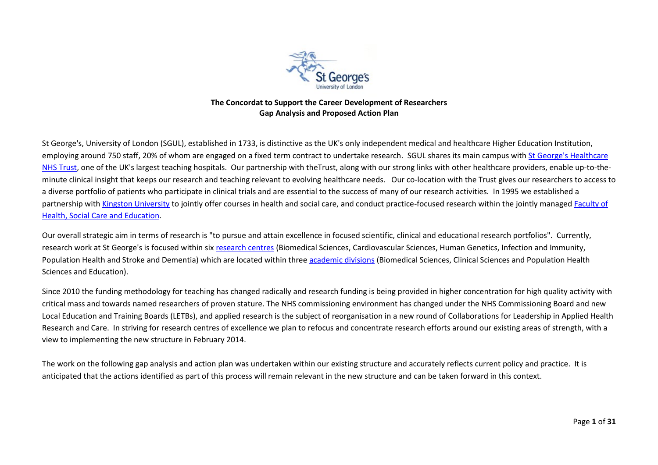

## **The Concordat to Support the Career Development of Researchers Gap Analysis and Proposed Action Plan**

St George's, University of London (SGUL), established in 1733, is distinctive as the UK's only independent medical and healthcare Higher Education Institution, employing around 750 staff, 20% of whom are engaged on a fixed term contract to undertake research. SGUL shares its main campus with [St George's Healthcare](http://www.stgeorges.nhs.uk/)  [NHS Trust,](http://www.stgeorges.nhs.uk/) one of the UK's largest teaching hospitals. Our partnership with theTrust, along with our strong links with other healthcare providers, enable up-to-theminute clinical insight that keeps our research and teaching relevant to evolving healthcare needs. Our co-location with the Trust gives our researchers to access to a diverse portfolio of patients who participate in clinical trials and are essential to the success of many of our research activities. In 1995 we established a partnership wit[h Kingston University](http://www.kingston.ac.uk/) to jointly offer courses in health and social care, and conduct practice-focused research within the jointly managed Faculty of [Health, Social Care and Education.](http://www.healthcare.ac.uk/)

Our overall strategic aim in terms of research is "to pursue and attain excellence in focused scientific, clinical and educational research portfolios". Currently, research work at St George's is focused within six [research centres](http://www.sgul.ac.uk/research/centres) (Biomedical Sciences, Cardiovascular Sciences, Human Genetics, Infection and Immunity, Population Health and Stroke and Dementia) which are located within three [academic divisions](http://www.sgul.ac.uk/about-st-georges/divisions) (Biomedical Sciences, Clinical Sciences and Population Health Sciences and Education).

Since 2010 the funding methodology for teaching has changed radically and research funding is being provided in higher concentration for high quality activity with critical mass and towards named researchers of proven stature. The NHS commissioning environment has changed under the NHS Commissioning Board and new Local Education and Training Boards (LETBs), and applied research is the subject of reorganisation in a new round of Collaborations for Leadership in Applied Health Research and Care. In striving for research centres of excellence we plan to refocus and concentrate research efforts around our existing areas of strength, with a view to implementing the new structure in February 2014.

The work on the following gap analysis and action plan was undertaken within our existing structure and accurately reflects current policy and practice. It is anticipated that the actions identified as part of this process will remain relevant in the new structure and can be taken forward in this context.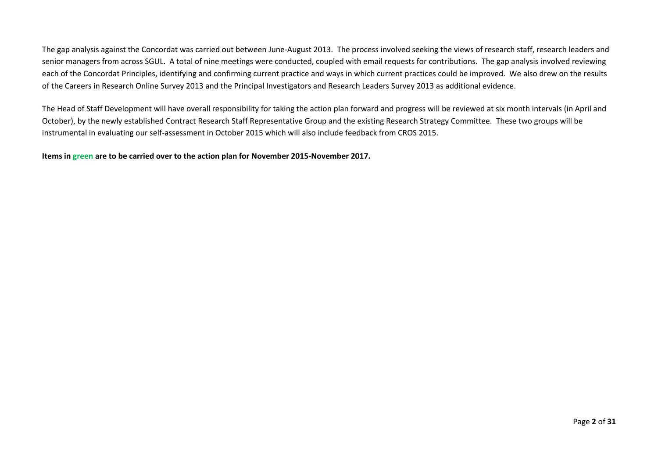The gap analysis against the Concordat was carried out between June-August 2013. The process involved seeking the views of research staff, research leaders and senior managers from across SGUL. A total of nine meetings were conducted, coupled with email requests for contributions. The gap analysis involved reviewing each of the Concordat Principles, identifying and confirming current practice and ways in which current practices could be improved. We also drew on the results of the Careers in Research Online Survey 2013 and the Principal Investigators and Research Leaders Survey 2013 as additional evidence.

The Head of Staff Development will have overall responsibility for taking the action plan forward and progress will be reviewed at six month intervals (in April and October), by the newly established Contract Research Staff Representative Group and the existing Research Strategy Committee. These two groups will be instrumental in evaluating our self-assessment in October 2015 which will also include feedback from CROS 2015.

**Items in green are to be carried over to the action plan for November 2015-November 2017.**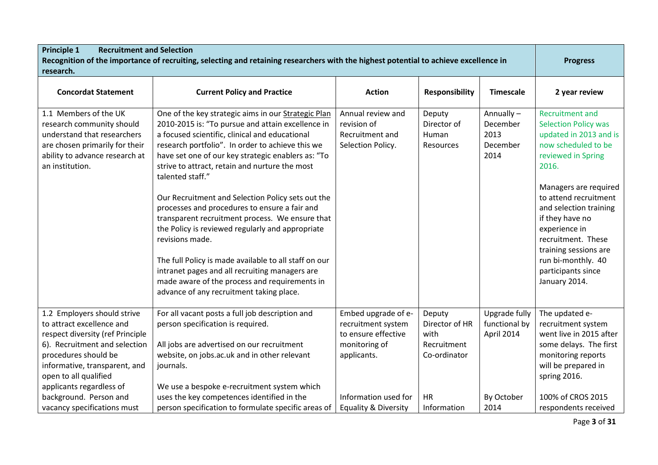| <b>Principle 1</b><br><b>Recruitment and Selection</b>                                                                                                                                                                                                                |                                                                                                                                                                                                                                                                                                                                                                                                                                                                                                                                                                                                                                                                                                                                                                                    |                                                                                                                          |                                                                       |                                                            |                                                                                                                                                                                                                                                                                                                                                                   |
|-----------------------------------------------------------------------------------------------------------------------------------------------------------------------------------------------------------------------------------------------------------------------|------------------------------------------------------------------------------------------------------------------------------------------------------------------------------------------------------------------------------------------------------------------------------------------------------------------------------------------------------------------------------------------------------------------------------------------------------------------------------------------------------------------------------------------------------------------------------------------------------------------------------------------------------------------------------------------------------------------------------------------------------------------------------------|--------------------------------------------------------------------------------------------------------------------------|-----------------------------------------------------------------------|------------------------------------------------------------|-------------------------------------------------------------------------------------------------------------------------------------------------------------------------------------------------------------------------------------------------------------------------------------------------------------------------------------------------------------------|
| research.                                                                                                                                                                                                                                                             | Recognition of the importance of recruiting, selecting and retaining researchers with the highest potential to achieve excellence in                                                                                                                                                                                                                                                                                                                                                                                                                                                                                                                                                                                                                                               |                                                                                                                          |                                                                       |                                                            | <b>Progress</b>                                                                                                                                                                                                                                                                                                                                                   |
| <b>Concordat Statement</b>                                                                                                                                                                                                                                            | <b>Current Policy and Practice</b>                                                                                                                                                                                                                                                                                                                                                                                                                                                                                                                                                                                                                                                                                                                                                 | <b>Action</b>                                                                                                            | <b>Responsibility</b>                                                 | <b>Timescale</b>                                           | 2 year review                                                                                                                                                                                                                                                                                                                                                     |
| 1.1 Members of the UK<br>research community should<br>understand that researchers<br>are chosen primarily for their<br>ability to advance research at<br>an institution.                                                                                              | One of the key strategic aims in our Strategic Plan<br>2010-2015 is: "To pursue and attain excellence in<br>a focused scientific, clinical and educational<br>research portfolio". In order to achieve this we<br>have set one of our key strategic enablers as: "To<br>strive to attract, retain and nurture the most<br>talented staff."<br>Our Recruitment and Selection Policy sets out the<br>processes and procedures to ensure a fair and<br>transparent recruitment process. We ensure that<br>the Policy is reviewed regularly and appropriate<br>revisions made.<br>The full Policy is made available to all staff on our<br>intranet pages and all recruiting managers are<br>made aware of the process and requirements in<br>advance of any recruitment taking place. | Annual review and<br>revision of<br>Recruitment and<br>Selection Policy.                                                 | Deputy<br>Director of<br>Human<br>Resources                           | Annually-<br>December<br>2013<br>December<br>2014          | <b>Recruitment and</b><br><b>Selection Policy was</b><br>updated in 2013 and is<br>now scheduled to be<br>reviewed in Spring<br>2016.<br>Managers are required<br>to attend recruitment<br>and selection training<br>if they have no<br>experience in<br>recruitment. These<br>training sessions are<br>run bi-monthly. 40<br>participants since<br>January 2014. |
| 1.2 Employers should strive<br>to attract excellence and<br>respect diversity (ref Principle<br>6). Recruitment and selection<br>procedures should be<br>informative, transparent, and<br>open to all qualified<br>applicants regardless of<br>background. Person and | For all vacant posts a full job description and<br>person specification is required.<br>All jobs are advertised on our recruitment<br>website, on jobs.ac.uk and in other relevant<br>journals.<br>We use a bespoke e-recruitment system which<br>uses the key competences identified in the                                                                                                                                                                                                                                                                                                                                                                                                                                                                                       | Embed upgrade of e-<br>recruitment system<br>to ensure effective<br>monitoring of<br>applicants.<br>Information used for | Deputy<br>Director of HR<br>with<br>Recruitment<br>Co-ordinator<br>HR | Upgrade fully<br>functional by<br>April 2014<br>By October | The updated e-<br>recruitment system<br>went live in 2015 after<br>some delays. The first<br>monitoring reports<br>will be prepared in<br>spring 2016.<br>100% of CROS 2015                                                                                                                                                                                       |
| vacancy specifications must                                                                                                                                                                                                                                           | person specification to formulate specific areas of                                                                                                                                                                                                                                                                                                                                                                                                                                                                                                                                                                                                                                                                                                                                | <b>Equality &amp; Diversity</b>                                                                                          | Information                                                           | 2014                                                       | respondents received                                                                                                                                                                                                                                                                                                                                              |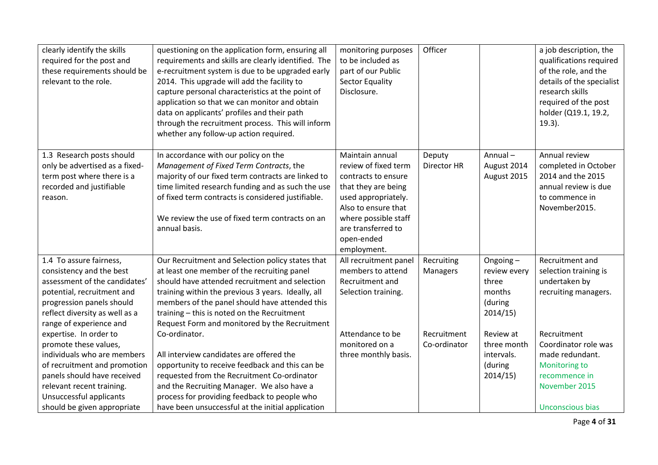| clearly identify the skills<br>required for the post and<br>these requirements should be<br>relevant to the role.                | questioning on the application form, ensuring all<br>requirements and skills are clearly identified. The<br>e-recruitment system is due to be upgraded early<br>2014. This upgrade will add the facility to<br>capture personal characteristics at the point of<br>application so that we can monitor and obtain<br>data on applicants' profiles and their path<br>through the recruitment process. This will inform<br>whether any follow-up action required. | monitoring purposes<br>to be included as<br>part of our Public<br><b>Sector Equality</b><br>Disclosure.                                                                                                        | Officer               |                                       | a job description, the<br>qualifications required<br>of the role, and the<br>details of the specialist<br>research skills<br>required of the post<br>holder (Q19.1, 19.2,<br>$19.3$ ). |
|----------------------------------------------------------------------------------------------------------------------------------|----------------------------------------------------------------------------------------------------------------------------------------------------------------------------------------------------------------------------------------------------------------------------------------------------------------------------------------------------------------------------------------------------------------------------------------------------------------|----------------------------------------------------------------------------------------------------------------------------------------------------------------------------------------------------------------|-----------------------|---------------------------------------|----------------------------------------------------------------------------------------------------------------------------------------------------------------------------------------|
| 1.3 Research posts should<br>only be advertised as a fixed-<br>term post where there is a<br>recorded and justifiable<br>reason. | In accordance with our policy on the<br>Management of Fixed Term Contracts, the<br>majority of our fixed term contracts are linked to<br>time limited research funding and as such the use<br>of fixed term contracts is considered justifiable.<br>We review the use of fixed term contracts on an<br>annual basis.                                                                                                                                           | Maintain annual<br>review of fixed term<br>contracts to ensure<br>that they are being<br>used appropriately.<br>Also to ensure that<br>where possible staff<br>are transferred to<br>open-ended<br>employment. | Deputy<br>Director HR | Annual-<br>August 2014<br>August 2015 | Annual review<br>completed in October<br>2014 and the 2015<br>annual review is due<br>to commence in<br>November2015.                                                                  |
| 1.4 To assure fairness,                                                                                                          | Our Recruitment and Selection policy states that                                                                                                                                                                                                                                                                                                                                                                                                               | All recruitment panel                                                                                                                                                                                          | Recruiting            | Ongoing-                              | Recruitment and                                                                                                                                                                        |
| consistency and the best<br>assessment of the candidates'                                                                        | at least one member of the recruiting panel<br>should have attended recruitment and selection                                                                                                                                                                                                                                                                                                                                                                  | members to attend<br>Recruitment and                                                                                                                                                                           | Managers              | review every<br>three                 | selection training is<br>undertaken by                                                                                                                                                 |
| potential, recruitment and                                                                                                       | training within the previous 3 years. Ideally, all                                                                                                                                                                                                                                                                                                                                                                                                             | Selection training.                                                                                                                                                                                            |                       | months                                | recruiting managers.                                                                                                                                                                   |
| progression panels should                                                                                                        | members of the panel should have attended this                                                                                                                                                                                                                                                                                                                                                                                                                 |                                                                                                                                                                                                                |                       | (during                               |                                                                                                                                                                                        |
| reflect diversity as well as a                                                                                                   | training - this is noted on the Recruitment                                                                                                                                                                                                                                                                                                                                                                                                                    |                                                                                                                                                                                                                |                       | 2014/15                               |                                                                                                                                                                                        |
| range of experience and                                                                                                          | Request Form and monitored by the Recruitment                                                                                                                                                                                                                                                                                                                                                                                                                  |                                                                                                                                                                                                                |                       |                                       |                                                                                                                                                                                        |
| expertise. In order to                                                                                                           | Co-ordinator.                                                                                                                                                                                                                                                                                                                                                                                                                                                  | Attendance to be                                                                                                                                                                                               | Recruitment           | Review at                             | Recruitment                                                                                                                                                                            |
| promote these values,                                                                                                            |                                                                                                                                                                                                                                                                                                                                                                                                                                                                | monitored on a                                                                                                                                                                                                 | Co-ordinator          | three month                           | Coordinator role was                                                                                                                                                                   |
| individuals who are members                                                                                                      | All interview candidates are offered the                                                                                                                                                                                                                                                                                                                                                                                                                       | three monthly basis.                                                                                                                                                                                           |                       | intervals.                            | made redundant.                                                                                                                                                                        |
| of recruitment and promotion                                                                                                     | opportunity to receive feedback and this can be                                                                                                                                                                                                                                                                                                                                                                                                                |                                                                                                                                                                                                                |                       | (during                               | Monitoring to                                                                                                                                                                          |
| panels should have received                                                                                                      | requested from the Recruitment Co-ordinator                                                                                                                                                                                                                                                                                                                                                                                                                    |                                                                                                                                                                                                                |                       | 2014/15                               | recommence in                                                                                                                                                                          |
| relevant recent training.                                                                                                        | and the Recruiting Manager. We also have a                                                                                                                                                                                                                                                                                                                                                                                                                     |                                                                                                                                                                                                                |                       |                                       | November 2015                                                                                                                                                                          |
| Unsuccessful applicants                                                                                                          | process for providing feedback to people who                                                                                                                                                                                                                                                                                                                                                                                                                   |                                                                                                                                                                                                                |                       |                                       |                                                                                                                                                                                        |
| should be given appropriate                                                                                                      | have been unsuccessful at the initial application                                                                                                                                                                                                                                                                                                                                                                                                              |                                                                                                                                                                                                                |                       |                                       | Unconscious bias                                                                                                                                                                       |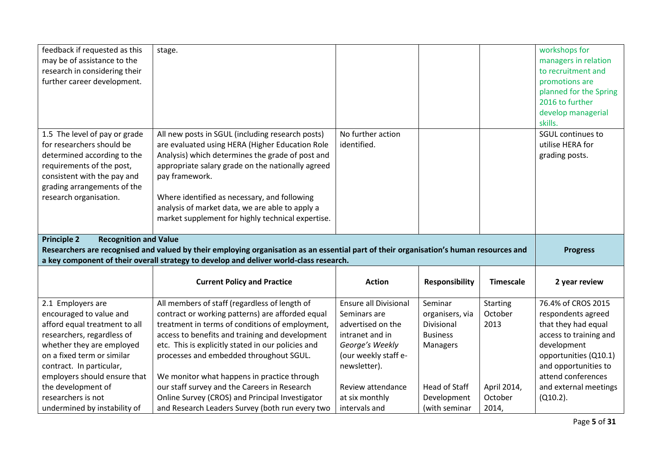| feedback if requested as this<br>may be of assistance to the<br>research in considering their<br>further career development.                                                                                   | stage.                                                                                                                                                                                                                                                                                                                                                                                 |                                  |                       |                  | workshops for<br>managers in relation<br>to recruitment and<br>promotions are<br>planned for the Spring<br>2016 to further<br>develop managerial<br>skills. |  |  |
|----------------------------------------------------------------------------------------------------------------------------------------------------------------------------------------------------------------|----------------------------------------------------------------------------------------------------------------------------------------------------------------------------------------------------------------------------------------------------------------------------------------------------------------------------------------------------------------------------------------|----------------------------------|-----------------------|------------------|-------------------------------------------------------------------------------------------------------------------------------------------------------------|--|--|
| 1.5 The level of pay or grade<br>for researchers should be<br>determined according to the<br>requirements of the post,<br>consistent with the pay and<br>grading arrangements of the<br>research organisation. | All new posts in SGUL (including research posts)<br>are evaluated using HERA (Higher Education Role<br>Analysis) which determines the grade of post and<br>appropriate salary grade on the nationally agreed<br>pay framework.<br>Where identified as necessary, and following<br>analysis of market data, we are able to apply a<br>market supplement for highly technical expertise. | No further action<br>identified. |                       |                  | SGUL continues to<br>utilise HERA for<br>grading posts.                                                                                                     |  |  |
| <b>Principle 2</b><br><b>Recognition and Value</b><br>Researchers are recognised and valued by their employing organisation as an essential part of their organisation's human resources and                   |                                                                                                                                                                                                                                                                                                                                                                                        |                                  |                       |                  |                                                                                                                                                             |  |  |
|                                                                                                                                                                                                                |                                                                                                                                                                                                                                                                                                                                                                                        |                                  |                       |                  | <b>Progress</b>                                                                                                                                             |  |  |
|                                                                                                                                                                                                                | a key component of their overall strategy to develop and deliver world-class research.<br><b>Current Policy and Practice</b>                                                                                                                                                                                                                                                           | <b>Action</b>                    | <b>Responsibility</b> | <b>Timescale</b> | 2 year review                                                                                                                                               |  |  |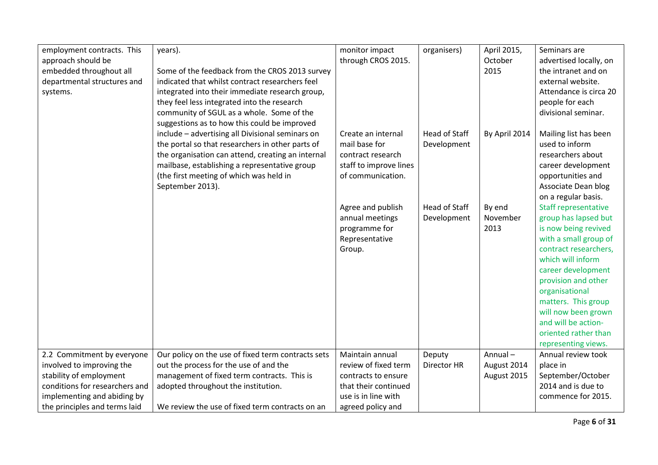| employment contracts. This     | years).                                            | monitor impact         | organisers)          | April 2015,   | Seminars are                |
|--------------------------------|----------------------------------------------------|------------------------|----------------------|---------------|-----------------------------|
| approach should be             |                                                    | through CROS 2015.     |                      | October       | advertised locally, on      |
| embedded throughout all        | Some of the feedback from the CROS 2013 survey     |                        |                      | 2015          | the intranet and on         |
| departmental structures and    | indicated that whilst contract researchers feel    |                        |                      |               | external website.           |
| systems.                       | integrated into their immediate research group,    |                        |                      |               | Attendance is circa 20      |
|                                | they feel less integrated into the research        |                        |                      |               | people for each             |
|                                | community of SGUL as a whole. Some of the          |                        |                      |               | divisional seminar.         |
|                                | suggestions as to how this could be improved       |                        |                      |               |                             |
|                                | include - advertising all Divisional seminars on   | Create an internal     | <b>Head of Staff</b> | By April 2014 | Mailing list has been       |
|                                | the portal so that researchers in other parts of   | mail base for          | Development          |               | used to inform              |
|                                | the organisation can attend, creating an internal  | contract research      |                      |               | researchers about           |
|                                | mailbase, establishing a representative group      | staff to improve lines |                      |               | career development          |
|                                | (the first meeting of which was held in            | of communication.      |                      |               | opportunities and           |
|                                | September 2013).                                   |                        |                      |               | Associate Dean blog         |
|                                |                                                    |                        |                      |               | on a regular basis.         |
|                                |                                                    | Agree and publish      | Head of Staff        | By end        | <b>Staff representative</b> |
|                                |                                                    | annual meetings        | Development          | November      | group has lapsed but        |
|                                |                                                    | programme for          |                      | 2013          | is now being revived        |
|                                |                                                    | Representative         |                      |               | with a small group of       |
|                                |                                                    | Group.                 |                      |               | contract researchers,       |
|                                |                                                    |                        |                      |               | which will inform           |
|                                |                                                    |                        |                      |               | career development          |
|                                |                                                    |                        |                      |               | provision and other         |
|                                |                                                    |                        |                      |               | organisational              |
|                                |                                                    |                        |                      |               | matters. This group         |
|                                |                                                    |                        |                      |               | will now been grown         |
|                                |                                                    |                        |                      |               | and will be action-         |
|                                |                                                    |                        |                      |               | oriented rather than        |
|                                |                                                    |                        |                      |               | representing views.         |
| 2.2 Commitment by everyone     | Our policy on the use of fixed term contracts sets | Maintain annual        | Deputy               | Annual-       | Annual review took          |
| involved to improving the      | out the process for the use of and the             | review of fixed term   | Director HR          | August 2014   | place in                    |
| stability of employment        | management of fixed term contracts. This is        | contracts to ensure    |                      | August 2015   | September/October           |
| conditions for researchers and | adopted throughout the institution.                | that their continued   |                      |               | 2014 and is due to          |
| implementing and abiding by    |                                                    | use is in line with    |                      |               | commence for 2015.          |
| the principles and terms laid  | We review the use of fixed term contracts on an    | agreed policy and      |                      |               |                             |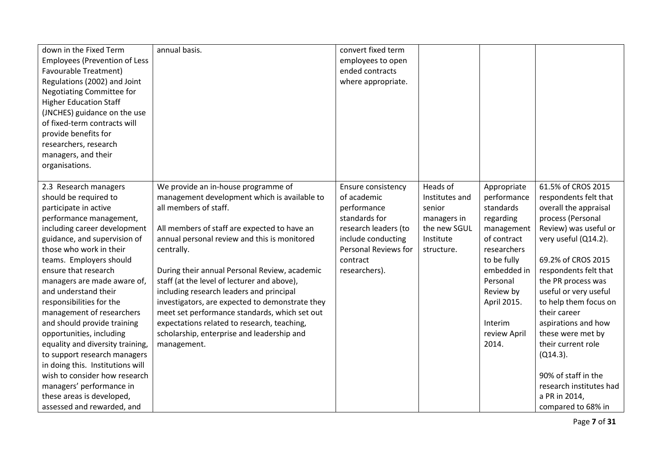| down in the Fixed Term               | annual basis.                                   | convert fixed term   |                |              |                         |
|--------------------------------------|-------------------------------------------------|----------------------|----------------|--------------|-------------------------|
| <b>Employees (Prevention of Less</b> |                                                 | employees to open    |                |              |                         |
| Favourable Treatment)                |                                                 | ended contracts      |                |              |                         |
| Regulations (2002) and Joint         |                                                 | where appropriate.   |                |              |                         |
| Negotiating Committee for            |                                                 |                      |                |              |                         |
| <b>Higher Education Staff</b>        |                                                 |                      |                |              |                         |
| (JNCHES) guidance on the use         |                                                 |                      |                |              |                         |
| of fixed-term contracts will         |                                                 |                      |                |              |                         |
| provide benefits for                 |                                                 |                      |                |              |                         |
| researchers, research                |                                                 |                      |                |              |                         |
| managers, and their                  |                                                 |                      |                |              |                         |
| organisations.                       |                                                 |                      |                |              |                         |
|                                      |                                                 |                      |                |              |                         |
| 2.3 Research managers                | We provide an in-house programme of             | Ensure consistency   | Heads of       | Appropriate  | 61.5% of CROS 2015      |
| should be required to                | management development which is available to    | of academic          | Institutes and | performance  | respondents felt that   |
| participate in active                | all members of staff.                           | performance          | senior         | standards    | overall the appraisal   |
| performance management,              |                                                 | standards for        | managers in    | regarding    | process (Personal       |
| including career development         | All members of staff are expected to have an    | research leaders (to | the new SGUL   | management   | Review) was useful or   |
| guidance, and supervision of         | annual personal review and this is monitored    | include conducting   | Institute      | of contract  | very useful (Q14.2).    |
| those who work in their              | centrally.                                      | Personal Reviews for | structure.     | researchers  |                         |
| teams. Employers should              |                                                 | contract             |                | to be fully  | 69.2% of CROS 2015      |
| ensure that research                 | During their annual Personal Review, academic   | researchers).        |                | embedded in  | respondents felt that   |
| managers are made aware of,          | staff (at the level of lecturer and above),     |                      |                | Personal     | the PR process was      |
| and understand their                 | including research leaders and principal        |                      |                | Review by    | useful or very useful   |
| responsibilities for the             | investigators, are expected to demonstrate they |                      |                | April 2015.  | to help them focus on   |
| management of researchers            | meet set performance standards, which set out   |                      |                |              | their career            |
| and should provide training          | expectations related to research, teaching,     |                      |                | Interim      | aspirations and how     |
| opportunities, including             | scholarship, enterprise and leadership and      |                      |                | review April | these were met by       |
| equality and diversity training,     | management.                                     |                      |                | 2014.        | their current role      |
| to support research managers         |                                                 |                      |                |              | $(Q14.3)$ .             |
| in doing this. Institutions will     |                                                 |                      |                |              |                         |
| wish to consider how research        |                                                 |                      |                |              | 90% of staff in the     |
| managers' performance in             |                                                 |                      |                |              | research institutes had |
| these areas is developed,            |                                                 |                      |                |              | a PR in 2014,           |
| assessed and rewarded, and           |                                                 |                      |                |              | compared to 68% in      |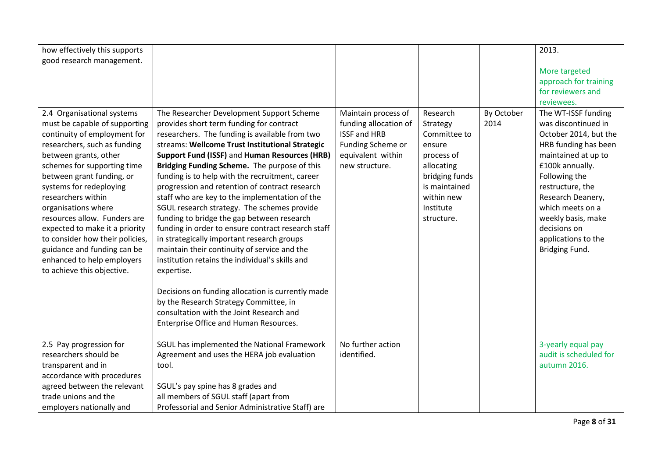| how effectively this supports   |                                                    |                       |                |            | 2013.                  |
|---------------------------------|----------------------------------------------------|-----------------------|----------------|------------|------------------------|
| good research management.       |                                                    |                       |                |            |                        |
|                                 |                                                    |                       |                |            | More targeted          |
|                                 |                                                    |                       |                |            | approach for training  |
|                                 |                                                    |                       |                |            | for reviewers and      |
|                                 |                                                    |                       |                |            | reviewees.             |
| 2.4 Organisational systems      | The Researcher Development Support Scheme          | Maintain process of   | Research       | By October | The WT-ISSF funding    |
| must be capable of supporting   | provides short term funding for contract           | funding allocation of | Strategy       | 2014       | was discontinued in    |
| continuity of employment for    | researchers. The funding is available from two     | <b>ISSF and HRB</b>   | Committee to   |            | October 2014, but the  |
| researchers, such as funding    | streams: Wellcome Trust Institutional Strategic    | Funding Scheme or     | ensure         |            | HRB funding has been   |
| between grants, other           | Support Fund (ISSF) and Human Resources (HRB)      | equivalent within     | process of     |            | maintained at up to    |
| schemes for supporting time     | Bridging Funding Scheme. The purpose of this       | new structure.        | allocating     |            | £100k annually.        |
| between grant funding, or       | funding is to help with the recruitment, career    |                       | bridging funds |            | Following the          |
| systems for redeploying         | progression and retention of contract research     |                       | is maintained  |            | restructure, the       |
| researchers within              | staff who are key to the implementation of the     |                       | within new     |            | Research Deanery,      |
| organisations where             | SGUL research strategy. The schemes provide        |                       | Institute      |            | which meets on a       |
| resources allow. Funders are    | funding to bridge the gap between research         |                       | structure.     |            | weekly basis, make     |
| expected to make it a priority  | funding in order to ensure contract research staff |                       |                |            | decisions on           |
| to consider how their policies, | in strategically important research groups         |                       |                |            | applications to the    |
| guidance and funding can be     | maintain their continuity of service and the       |                       |                |            | Bridging Fund.         |
| enhanced to help employers      | institution retains the individual's skills and    |                       |                |            |                        |
| to achieve this objective.      | expertise.                                         |                       |                |            |                        |
|                                 |                                                    |                       |                |            |                        |
|                                 | Decisions on funding allocation is currently made  |                       |                |            |                        |
|                                 | by the Research Strategy Committee, in             |                       |                |            |                        |
|                                 | consultation with the Joint Research and           |                       |                |            |                        |
|                                 | Enterprise Office and Human Resources.             |                       |                |            |                        |
| 2.5 Pay progression for         | SGUL has implemented the National Framework        | No further action     |                |            | 3-yearly equal pay     |
| researchers should be           | Agreement and uses the HERA job evaluation         | identified.           |                |            | audit is scheduled for |
| transparent and in              | tool.                                              |                       |                |            | autumn 2016.           |
| accordance with procedures      |                                                    |                       |                |            |                        |
| agreed between the relevant     | SGUL's pay spine has 8 grades and                  |                       |                |            |                        |
| trade unions and the            | all members of SGUL staff (apart from              |                       |                |            |                        |
|                                 |                                                    |                       |                |            |                        |
| employers nationally and        | Professorial and Senior Administrative Staff) are  |                       |                |            |                        |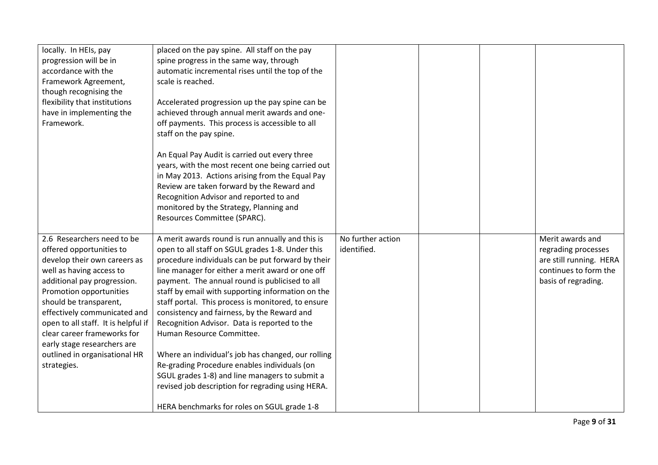| locally. In HEIs, pay<br>progression will be in<br>accordance with the<br>Framework Agreement,<br>though recognising the<br>flexibility that institutions<br>have in implementing the<br>Framework.                                                                                                                                                                                         | placed on the pay spine. All staff on the pay<br>spine progress in the same way, through<br>automatic incremental rises until the top of the<br>scale is reached.<br>Accelerated progression up the pay spine can be<br>achieved through annual merit awards and one-<br>off payments. This process is accessible to all<br>staff on the pay spine.<br>An Equal Pay Audit is carried out every three                                                                                                                                                                                                                                                                                                                                                               |                                  |  |                                                                                                                    |
|---------------------------------------------------------------------------------------------------------------------------------------------------------------------------------------------------------------------------------------------------------------------------------------------------------------------------------------------------------------------------------------------|--------------------------------------------------------------------------------------------------------------------------------------------------------------------------------------------------------------------------------------------------------------------------------------------------------------------------------------------------------------------------------------------------------------------------------------------------------------------------------------------------------------------------------------------------------------------------------------------------------------------------------------------------------------------------------------------------------------------------------------------------------------------|----------------------------------|--|--------------------------------------------------------------------------------------------------------------------|
|                                                                                                                                                                                                                                                                                                                                                                                             | years, with the most recent one being carried out<br>in May 2013. Actions arising from the Equal Pay<br>Review are taken forward by the Reward and<br>Recognition Advisor and reported to and<br>monitored by the Strategy, Planning and<br>Resources Committee (SPARC).                                                                                                                                                                                                                                                                                                                                                                                                                                                                                           |                                  |  |                                                                                                                    |
| 2.6 Researchers need to be<br>offered opportunities to<br>develop their own careers as<br>well as having access to<br>additional pay progression.<br>Promotion opportunities<br>should be transparent,<br>effectively communicated and<br>open to all staff. It is helpful if<br>clear career frameworks for<br>early stage researchers are<br>outlined in organisational HR<br>strategies. | A merit awards round is run annually and this is<br>open to all staff on SGUL grades 1-8. Under this<br>procedure individuals can be put forward by their<br>line manager for either a merit award or one off<br>payment. The annual round is publicised to all<br>staff by email with supporting information on the<br>staff portal. This process is monitored, to ensure<br>consistency and fairness, by the Reward and<br>Recognition Advisor. Data is reported to the<br>Human Resource Committee.<br>Where an individual's job has changed, our rolling<br>Re-grading Procedure enables individuals (on<br>SGUL grades 1-8) and line managers to submit a<br>revised job description for regrading using HERA.<br>HERA benchmarks for roles on SGUL grade 1-8 | No further action<br>identified. |  | Merit awards and<br>regrading processes<br>are still running. HERA<br>continues to form the<br>basis of regrading. |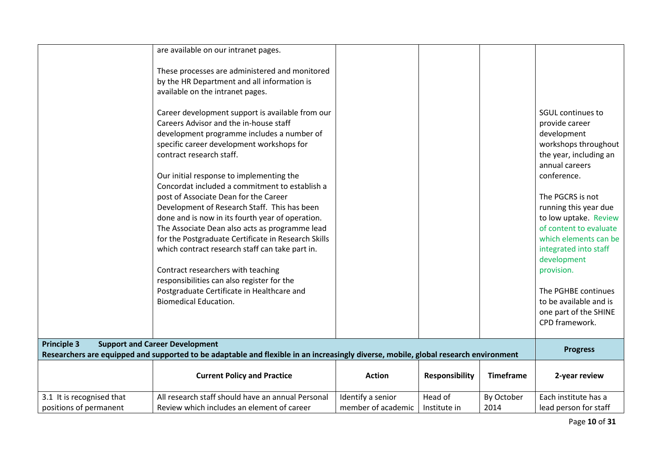|                                                     | are available on our intranet pages.                                                                                                                                                                                                                                                                                                                                                                                                                                                                                                                                                                                                                                                                                                                                                       |                                         |                         |                    |                                                                                                                                                                                                                                                                                                                                                                                                                         |
|-----------------------------------------------------|--------------------------------------------------------------------------------------------------------------------------------------------------------------------------------------------------------------------------------------------------------------------------------------------------------------------------------------------------------------------------------------------------------------------------------------------------------------------------------------------------------------------------------------------------------------------------------------------------------------------------------------------------------------------------------------------------------------------------------------------------------------------------------------------|-----------------------------------------|-------------------------|--------------------|-------------------------------------------------------------------------------------------------------------------------------------------------------------------------------------------------------------------------------------------------------------------------------------------------------------------------------------------------------------------------------------------------------------------------|
|                                                     | These processes are administered and monitored<br>by the HR Department and all information is<br>available on the intranet pages.                                                                                                                                                                                                                                                                                                                                                                                                                                                                                                                                                                                                                                                          |                                         |                         |                    |                                                                                                                                                                                                                                                                                                                                                                                                                         |
|                                                     | Career development support is available from our<br>Careers Advisor and the in-house staff<br>development programme includes a number of<br>specific career development workshops for<br>contract research staff.<br>Our initial response to implementing the<br>Concordat included a commitment to establish a<br>post of Associate Dean for the Career<br>Development of Research Staff. This has been<br>done and is now in its fourth year of operation.<br>The Associate Dean also acts as programme lead<br>for the Postgraduate Certificate in Research Skills<br>which contract research staff can take part in.<br>Contract researchers with teaching<br>responsibilities can also register for the<br>Postgraduate Certificate in Healthcare and<br><b>Biomedical Education.</b> |                                         |                         |                    | <b>SGUL continues to</b><br>provide career<br>development<br>workshops throughout<br>the year, including an<br>annual careers<br>conference.<br>The PGCRS is not<br>running this year due<br>to low uptake. Review<br>of content to evaluate<br>which elements can be<br>integrated into staff<br>development<br>provision.<br>The PGHBE continues<br>to be available and is<br>one part of the SHINE<br>CPD framework. |
| <b>Principle 3</b>                                  | <b>Support and Career Development</b><br>Researchers are equipped and supported to be adaptable and flexible in an increasingly diverse, mobile, global research environment                                                                                                                                                                                                                                                                                                                                                                                                                                                                                                                                                                                                               |                                         |                         |                    | <b>Progress</b>                                                                                                                                                                                                                                                                                                                                                                                                         |
|                                                     | <b>Current Policy and Practice</b>                                                                                                                                                                                                                                                                                                                                                                                                                                                                                                                                                                                                                                                                                                                                                         | <b>Action</b>                           | <b>Responsibility</b>   | <b>Timeframe</b>   | 2-year review                                                                                                                                                                                                                                                                                                                                                                                                           |
| 3.1 It is recognised that<br>positions of permanent | All research staff should have an annual Personal<br>Review which includes an element of career                                                                                                                                                                                                                                                                                                                                                                                                                                                                                                                                                                                                                                                                                            | Identify a senior<br>member of academic | Head of<br>Institute in | By October<br>2014 | Each institute has a<br>lead person for staff                                                                                                                                                                                                                                                                                                                                                                           |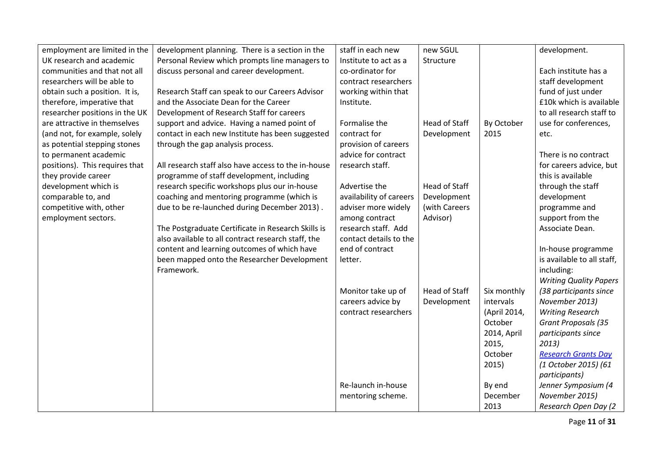| employment are limited in the  | development planning. There is a section in the     | staff in each new       | new SGUL             |              | development.                  |
|--------------------------------|-----------------------------------------------------|-------------------------|----------------------|--------------|-------------------------------|
| UK research and academic       | Personal Review which prompts line managers to      | Institute to act as a   | Structure            |              |                               |
| communities and that not all   | discuss personal and career development.            | co-ordinator for        |                      |              | Each institute has a          |
| researchers will be able to    |                                                     | contract researchers    |                      |              | staff development             |
| obtain such a position. It is, | Research Staff can speak to our Careers Advisor     | working within that     |                      |              | fund of just under            |
| therefore, imperative that     | and the Associate Dean for the Career               | Institute.              |                      |              | £10k which is available       |
| researcher positions in the UK | Development of Research Staff for careers           |                         |                      |              | to all research staff to      |
| are attractive in themselves   | support and advice. Having a named point of         | Formalise the           | <b>Head of Staff</b> | By October   | use for conferences,          |
| (and not, for example, solely  | contact in each new Institute has been suggested    | contract for            | Development          | 2015         | etc.                          |
| as potential stepping stones   | through the gap analysis process.                   | provision of careers    |                      |              |                               |
| to permanent academic          |                                                     | advice for contract     |                      |              | There is no contract          |
| positions). This requires that | All research staff also have access to the in-house | research staff.         |                      |              | for careers advice, but       |
| they provide career            | programme of staff development, including           |                         |                      |              | this is available             |
| development which is           | research specific workshops plus our in-house       | Advertise the           | <b>Head of Staff</b> |              | through the staff             |
| comparable to, and             | coaching and mentoring programme (which is          | availability of careers | Development          |              | development                   |
| competitive with, other        | due to be re-launched during December 2013).        | adviser more widely     | (with Careers        |              | programme and                 |
| employment sectors.            |                                                     | among contract          | Advisor)             |              | support from the              |
|                                | The Postgraduate Certificate in Research Skills is  | research staff. Add     |                      |              | Associate Dean.               |
|                                | also available to all contract research staff, the  | contact details to the  |                      |              |                               |
|                                | content and learning outcomes of which have         | end of contract         |                      |              | In-house programme            |
|                                | been mapped onto the Researcher Development         | letter.                 |                      |              | is available to all staff,    |
|                                | Framework.                                          |                         |                      |              | including:                    |
|                                |                                                     |                         |                      |              | <b>Writing Quality Papers</b> |
|                                |                                                     | Monitor take up of      | <b>Head of Staff</b> | Six monthly  | (38 participants since        |
|                                |                                                     | careers advice by       | Development          | intervals    | November 2013)                |
|                                |                                                     | contract researchers    |                      | (April 2014, | <b>Writing Research</b>       |
|                                |                                                     |                         |                      | October      | <b>Grant Proposals (35</b>    |
|                                |                                                     |                         |                      | 2014, April  | participants since            |
|                                |                                                     |                         |                      | 2015,        | 2013)                         |
|                                |                                                     |                         |                      | October      | <b>Research Grants Day</b>    |
|                                |                                                     |                         |                      | 2015)        | (1 October 2015) (61          |
|                                |                                                     |                         |                      |              | participants)                 |
|                                |                                                     | Re-launch in-house      |                      | By end       | Jenner Symposium (4           |
|                                |                                                     | mentoring scheme.       |                      | December     | November 2015)                |
|                                |                                                     |                         |                      | 2013         | Research Open Day (2          |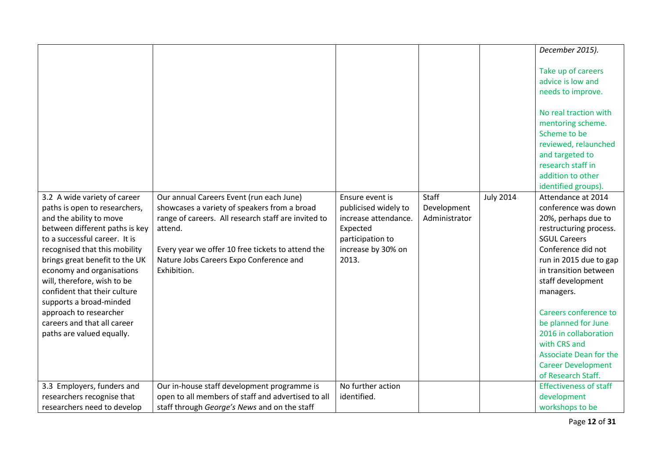|                                                                                                                                                                                                                                                                                                                                                                                                             |                                                                                                                                                                                                                               |                                                                                                             |                              |                  | December 2015).                                                                                                                                                                                                                                                                                                                                                                     |
|-------------------------------------------------------------------------------------------------------------------------------------------------------------------------------------------------------------------------------------------------------------------------------------------------------------------------------------------------------------------------------------------------------------|-------------------------------------------------------------------------------------------------------------------------------------------------------------------------------------------------------------------------------|-------------------------------------------------------------------------------------------------------------|------------------------------|------------------|-------------------------------------------------------------------------------------------------------------------------------------------------------------------------------------------------------------------------------------------------------------------------------------------------------------------------------------------------------------------------------------|
|                                                                                                                                                                                                                                                                                                                                                                                                             |                                                                                                                                                                                                                               |                                                                                                             |                              |                  | Take up of careers<br>advice is low and<br>needs to improve.<br>No real traction with<br>mentoring scheme.<br>Scheme to be<br>reviewed, relaunched<br>and targeted to<br>research staff in<br>addition to other                                                                                                                                                                     |
| 3.2 A wide variety of career                                                                                                                                                                                                                                                                                                                                                                                | Our annual Careers Event (run each June)                                                                                                                                                                                      | Ensure event is                                                                                             | Staff                        | <b>July 2014</b> | identified groups).<br>Attendance at 2014                                                                                                                                                                                                                                                                                                                                           |
| paths is open to researchers,<br>and the ability to move<br>between different paths is key<br>to a successful career. It is<br>recognised that this mobility<br>brings great benefit to the UK<br>economy and organisations<br>will, therefore, wish to be<br>confident that their culture<br>supports a broad-minded<br>approach to researcher<br>careers and that all career<br>paths are valued equally. | showcases a variety of speakers from a broad<br>range of careers. All research staff are invited to<br>attend.<br>Every year we offer 10 free tickets to attend the<br>Nature Jobs Careers Expo Conference and<br>Exhibition. | publicised widely to<br>increase attendance.<br>Expected<br>participation to<br>increase by 30% on<br>2013. | Development<br>Administrator |                  | conference was down<br>20%, perhaps due to<br>restructuring process.<br><b>SGUL Careers</b><br>Conference did not<br>run in 2015 due to gap<br>in transition between<br>staff development<br>managers.<br>Careers conference to<br>be planned for June<br>2016 in collaboration<br>with CRS and<br><b>Associate Dean for the</b><br><b>Career Development</b><br>of Research Staff. |
| 3.3 Employers, funders and                                                                                                                                                                                                                                                                                                                                                                                  | Our in-house staff development programme is                                                                                                                                                                                   | No further action                                                                                           |                              |                  | <b>Effectiveness of staff</b>                                                                                                                                                                                                                                                                                                                                                       |
| researchers recognise that                                                                                                                                                                                                                                                                                                                                                                                  | open to all members of staff and advertised to all                                                                                                                                                                            | identified.                                                                                                 |                              |                  | development                                                                                                                                                                                                                                                                                                                                                                         |
| researchers need to develop                                                                                                                                                                                                                                                                                                                                                                                 | staff through George's News and on the staff                                                                                                                                                                                  |                                                                                                             |                              |                  | workshops to be                                                                                                                                                                                                                                                                                                                                                                     |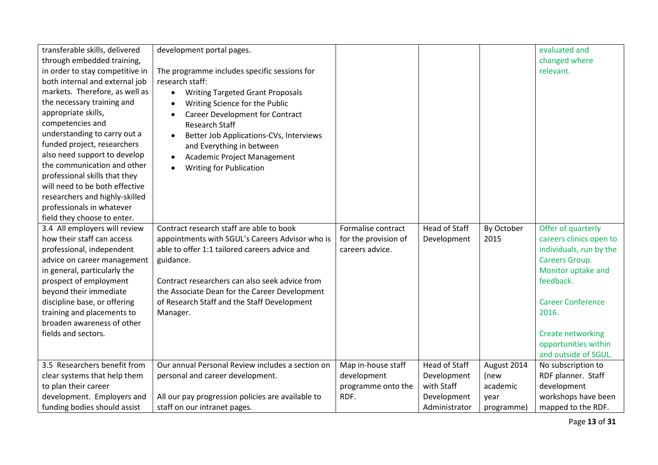| transferable skills, delivered<br>through embedded training,<br>in order to stay competitive in<br>both internal and external job<br>markets. Therefore, as well as<br>the necessary training and<br>appropriate skills,<br>competencies and<br>understanding to carry out a<br>funded project, researchers<br>also need support to develop<br>the communication and other<br>professional skills that they<br>will need to be both effective<br>researchers and highly-skilled<br>professionals in whatever | development portal pages.<br>The programme includes specific sessions for<br>research staff:<br><b>Writing Targeted Grant Proposals</b><br>$\bullet$<br>Writing Science for the Public<br><b>Career Development for Contract</b><br>$\bullet$<br><b>Research Staff</b><br>Better Job Applications-CVs, Interviews<br>and Everything in between<br>Academic Project Management<br>$\bullet$<br><b>Writing for Publication</b><br>$\bullet$ |                                                               |                                     |                    | evaluated and<br>changed where<br>relevant.                                                                                                                        |
|--------------------------------------------------------------------------------------------------------------------------------------------------------------------------------------------------------------------------------------------------------------------------------------------------------------------------------------------------------------------------------------------------------------------------------------------------------------------------------------------------------------|-------------------------------------------------------------------------------------------------------------------------------------------------------------------------------------------------------------------------------------------------------------------------------------------------------------------------------------------------------------------------------------------------------------------------------------------|---------------------------------------------------------------|-------------------------------------|--------------------|--------------------------------------------------------------------------------------------------------------------------------------------------------------------|
| field they choose to enter.                                                                                                                                                                                                                                                                                                                                                                                                                                                                                  | Contract research staff are able to book                                                                                                                                                                                                                                                                                                                                                                                                  |                                                               |                                     |                    |                                                                                                                                                                    |
| 3.4 All employers will review<br>how their staff can access<br>professional, independent<br>advice on career management<br>in general, particularly the<br>prospect of employment<br>beyond their immediate<br>discipline base, or offering<br>training and placements to<br>broaden awareness of other                                                                                                                                                                                                      | appointments with SGUL's Careers Advisor who is<br>able to offer 1:1 tailored careers advice and<br>guidance.<br>Contract researchers can also seek advice from<br>the Associate Dean for the Career Development<br>of Research Staff and the Staff Development<br>Manager.                                                                                                                                                               | Formalise contract<br>for the provision of<br>careers advice. | <b>Head of Staff</b><br>Development | By October<br>2015 | Offer of quarterly<br>careers clinics open to<br>individuals, run by the<br>Careers Group.<br>Monitor uptake and<br>feedback.<br><b>Career Conference</b><br>2016. |
| fields and sectors.                                                                                                                                                                                                                                                                                                                                                                                                                                                                                          |                                                                                                                                                                                                                                                                                                                                                                                                                                           |                                                               |                                     |                    | <b>Create networking</b><br>opportunities within<br>and outside of SGUL.                                                                                           |
| 3.5 Researchers benefit from                                                                                                                                                                                                                                                                                                                                                                                                                                                                                 | Our annual Personal Review includes a section on                                                                                                                                                                                                                                                                                                                                                                                          | Map in-house staff                                            | <b>Head of Staff</b>                | August 2014        | No subscription to                                                                                                                                                 |
| clear systems that help them                                                                                                                                                                                                                                                                                                                                                                                                                                                                                 | personal and career development.                                                                                                                                                                                                                                                                                                                                                                                                          | development                                                   | Development                         | (new               | RDF planner. Staff                                                                                                                                                 |
| to plan their career                                                                                                                                                                                                                                                                                                                                                                                                                                                                                         |                                                                                                                                                                                                                                                                                                                                                                                                                                           | programme onto the                                            | with Staff                          | academic           | development                                                                                                                                                        |
| development. Employers and                                                                                                                                                                                                                                                                                                                                                                                                                                                                                   | All our pay progression policies are available to                                                                                                                                                                                                                                                                                                                                                                                         | RDF.                                                          | Development                         | year               | workshops have been                                                                                                                                                |
| funding bodies should assist                                                                                                                                                                                                                                                                                                                                                                                                                                                                                 | staff on our intranet pages.                                                                                                                                                                                                                                                                                                                                                                                                              |                                                               | Administrator                       | programme)         | mapped to the RDF.                                                                                                                                                 |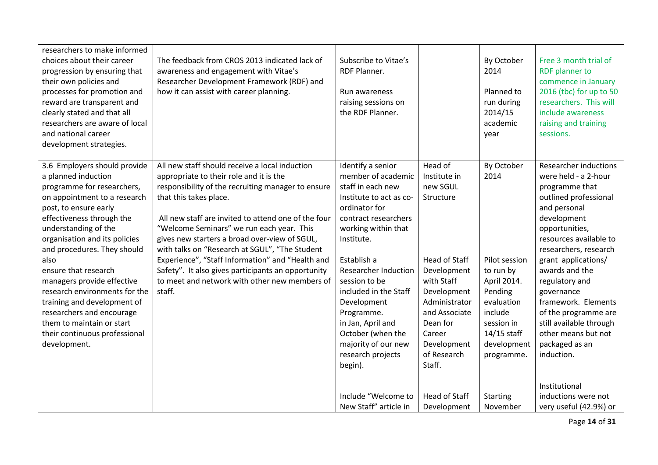| researchers to make informed<br>choices about their career<br>progression by ensuring that<br>their own policies and<br>processes for promotion and<br>reward are transparent and<br>clearly stated and that all<br>researchers are aware of local<br>and national career<br>development strategies.                                                                                                                                                                                                     | The feedback from CROS 2013 indicated lack of<br>awareness and engagement with Vitae's<br>Researcher Development Framework (RDF) and<br>how it can assist with career planning.                                                                                                                                                                                                                                                                                                                                                                       | Subscribe to Vitae's<br><b>RDF Planner.</b><br>Run awareness<br>raising sessions on<br>the RDF Planner.                                                                                                                                                                                                                                                                                     |                                                                                                                                                                                                                      | By October<br>2014<br>Planned to<br>run during<br>2014/15<br>academic<br>vear                                                                                 | Free 3 month trial of<br><b>RDF</b> planner to<br>commence in January<br>2016 (tbc) for up to 50<br>researchers. This will<br>include awareness<br>raising and training<br>sessions.                                                                                                                                                                                                                                           |
|----------------------------------------------------------------------------------------------------------------------------------------------------------------------------------------------------------------------------------------------------------------------------------------------------------------------------------------------------------------------------------------------------------------------------------------------------------------------------------------------------------|-------------------------------------------------------------------------------------------------------------------------------------------------------------------------------------------------------------------------------------------------------------------------------------------------------------------------------------------------------------------------------------------------------------------------------------------------------------------------------------------------------------------------------------------------------|---------------------------------------------------------------------------------------------------------------------------------------------------------------------------------------------------------------------------------------------------------------------------------------------------------------------------------------------------------------------------------------------|----------------------------------------------------------------------------------------------------------------------------------------------------------------------------------------------------------------------|---------------------------------------------------------------------------------------------------------------------------------------------------------------|--------------------------------------------------------------------------------------------------------------------------------------------------------------------------------------------------------------------------------------------------------------------------------------------------------------------------------------------------------------------------------------------------------------------------------|
| 3.6 Employers should provide<br>a planned induction<br>programme for researchers,<br>on appointment to a research<br>post, to ensure early<br>effectiveness through the<br>understanding of the<br>organisation and its policies<br>and procedures. They should<br>also<br>ensure that research<br>managers provide effective<br>research environments for the<br>training and development of<br>researchers and encourage<br>them to maintain or start<br>their continuous professional<br>development. | All new staff should receive a local induction<br>appropriate to their role and it is the<br>responsibility of the recruiting manager to ensure<br>that this takes place.<br>All new staff are invited to attend one of the four<br>"Welcome Seminars" we run each year. This<br>gives new starters a broad over-view of SGUL,<br>with talks on "Research at SGUL", "The Student<br>Experience", "Staff Information" and "Health and<br>Safety". It also gives participants an opportunity<br>to meet and network with other new members of<br>staff. | Identify a senior<br>member of academic<br>staff in each new<br>Institute to act as co-<br>ordinator for<br>contract researchers<br>working within that<br>Institute.<br>Establish a<br><b>Researcher Induction</b><br>session to be<br>included in the Staff<br>Development<br>Programme.<br>in Jan, April and<br>October (when the<br>majority of our new<br>research projects<br>begin). | Head of<br>Institute in<br>new SGUL<br>Structure<br><b>Head of Staff</b><br>Development<br>with Staff<br>Development<br>Administrator<br>and Associate<br>Dean for<br>Career<br>Development<br>of Research<br>Staff. | By October<br>2014<br>Pilot session<br>to run by<br>April 2014.<br>Pending<br>evaluation<br>include<br>session in<br>14/15 staff<br>development<br>programme. | <b>Researcher inductions</b><br>were held - a 2-hour<br>programme that<br>outlined professional<br>and personal<br>development<br>opportunities,<br>resources available to<br>researchers, research<br>grant applications/<br>awards and the<br>regulatory and<br>governance<br>framework. Elements<br>of the programme are<br>still available through<br>other means but not<br>packaged as an<br>induction.<br>Institutional |
|                                                                                                                                                                                                                                                                                                                                                                                                                                                                                                          |                                                                                                                                                                                                                                                                                                                                                                                                                                                                                                                                                       | Include "Welcome to<br>New Staff" article in                                                                                                                                                                                                                                                                                                                                                | <b>Head of Staff</b><br>Development                                                                                                                                                                                  | <b>Starting</b><br>November                                                                                                                                   | inductions were not<br>very useful (42.9%) or                                                                                                                                                                                                                                                                                                                                                                                  |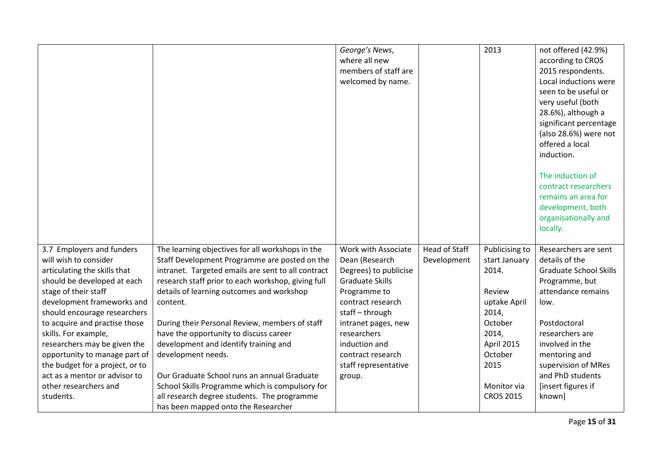|                                 |                                                    | George's News,         |                      | 2013             | not offered (42.9%)           |
|---------------------------------|----------------------------------------------------|------------------------|----------------------|------------------|-------------------------------|
|                                 |                                                    | where all new          |                      |                  | according to CROS             |
|                                 |                                                    | members of staff are   |                      |                  | 2015 respondents.             |
|                                 |                                                    | welcomed by name.      |                      |                  | Local inductions were         |
|                                 |                                                    |                        |                      |                  | seen to be useful or          |
|                                 |                                                    |                        |                      |                  | very useful (both             |
|                                 |                                                    |                        |                      |                  | 28.6%), although a            |
|                                 |                                                    |                        |                      |                  | significant percentage        |
|                                 |                                                    |                        |                      |                  | (also 28.6%) were not         |
|                                 |                                                    |                        |                      |                  | offered a local               |
|                                 |                                                    |                        |                      |                  | induction.                    |
|                                 |                                                    |                        |                      |                  |                               |
|                                 |                                                    |                        |                      |                  | The induction of              |
|                                 |                                                    |                        |                      |                  | contract researchers          |
|                                 |                                                    |                        |                      |                  | remains an area for           |
|                                 |                                                    |                        |                      |                  | development, both             |
|                                 |                                                    |                        |                      |                  | organisationally and          |
|                                 |                                                    |                        |                      |                  | locally.                      |
|                                 |                                                    |                        |                      |                  |                               |
| 3.7 Employers and funders       | The learning objectives for all workshops in the   | Work with Associate    | <b>Head of Staff</b> | Publicising to   | Researchers are sent          |
| will wish to consider           | Staff Development Programme are posted on the      | Dean (Research         | Development          | start January    | details of the                |
| articulating the skills that    | intranet. Targeted emails are sent to all contract | Degrees) to publicise  |                      | 2014.            | <b>Graduate School Skills</b> |
| should be developed at each     | research staff prior to each workshop, giving full | <b>Graduate Skills</b> |                      |                  | Programme, but                |
| stage of their staff            | details of learning outcomes and workshop          | Programme to           |                      | Review           | attendance remains            |
| development frameworks and      | content.                                           | contract research      |                      | uptake April     | low.                          |
| should encourage researchers    |                                                    | staff-through          |                      | 2014,            |                               |
| to acquire and practise those   | During their Personal Review, members of staff     | intranet pages, new    |                      | October          | Postdoctoral                  |
| skills. For example,            | have the opportunity to discuss career             | researchers            |                      | 2014,            | researchers are               |
| researchers may be given the    | development and identify training and              | induction and          |                      | April 2015       | involved in the               |
| opportunity to manage part of   | development needs.                                 | contract research      |                      | October          | mentoring and                 |
| the budget for a project, or to |                                                    | staff representative   |                      | 2015             | supervision of MRes           |
| act as a mentor or advisor to   | Our Graduate School runs an annual Graduate        | group.                 |                      |                  | and PhD students              |
| other researchers and           | School Skills Programme which is compulsory for    |                        |                      | Monitor via      | [insert figures if            |
| students.                       | all research degree students. The programme        |                        |                      | <b>CROS 2015</b> | known]                        |
|                                 | has been mapped onto the Researcher                |                        |                      |                  |                               |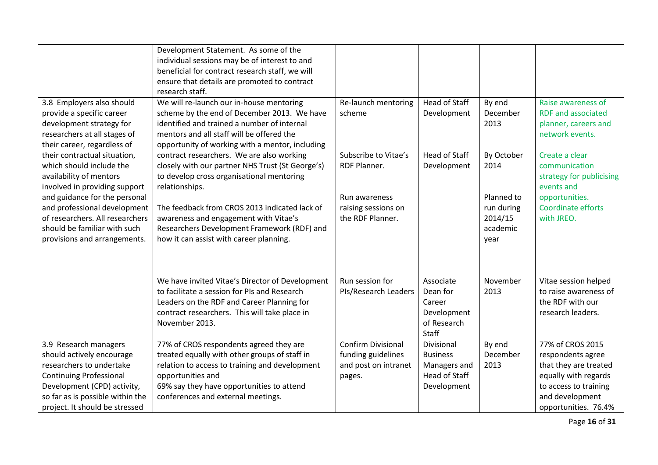|                                                                                                                                                                                                                       | Development Statement. As some of the<br>individual sessions may be of interest to and<br>beneficial for contract research staff, we will<br>ensure that details are promoted to contract<br>research staff.                                       |                                                                                   |                                                                               |                                                         |                                                                                                                                                            |
|-----------------------------------------------------------------------------------------------------------------------------------------------------------------------------------------------------------------------|----------------------------------------------------------------------------------------------------------------------------------------------------------------------------------------------------------------------------------------------------|-----------------------------------------------------------------------------------|-------------------------------------------------------------------------------|---------------------------------------------------------|------------------------------------------------------------------------------------------------------------------------------------------------------------|
| 3.8 Employers also should<br>provide a specific career<br>development strategy for<br>researchers at all stages of<br>their career, regardless of                                                                     | We will re-launch our in-house mentoring<br>scheme by the end of December 2013. We have<br>identified and trained a number of internal<br>mentors and all staff will be offered the<br>opportunity of working with a mentor, including             | Re-launch mentoring<br>scheme                                                     | <b>Head of Staff</b><br>Development                                           | By end<br>December<br>2013                              | Raise awareness of<br><b>RDF</b> and associated<br>planner, careers and<br>network events.                                                                 |
| their contractual situation,<br>which should include the<br>availability of mentors<br>involved in providing support                                                                                                  | contract researchers. We are also working<br>closely with our partner NHS Trust (St George's)<br>to develop cross organisational mentoring<br>relationships.                                                                                       | Subscribe to Vitae's<br>RDF Planner.                                              | <b>Head of Staff</b><br>Development                                           | By October<br>2014                                      | Create a clear<br>communication<br>strategy for publicising<br>events and                                                                                  |
| and guidance for the personal<br>and professional development<br>of researchers. All researchers<br>should be familiar with such<br>provisions and arrangements.                                                      | The feedback from CROS 2013 indicated lack of<br>awareness and engagement with Vitae's<br>Researchers Development Framework (RDF) and<br>how it can assist with career planning.                                                                   | Run awareness<br>raising sessions on<br>the RDF Planner.                          |                                                                               | Planned to<br>run during<br>2014/15<br>academic<br>year | opportunities.<br>Coordinate efforts<br>with JREO.                                                                                                         |
|                                                                                                                                                                                                                       | We have invited Vitae's Director of Development<br>to facilitate a session for PIs and Research<br>Leaders on the RDF and Career Planning for<br>contract researchers. This will take place in<br>November 2013.                                   | Run session for<br>PIs/Research Leaders                                           | Associate<br>Dean for<br>Career<br>Development<br>of Research<br><b>Staff</b> | November<br>2013                                        | Vitae session helped<br>to raise awareness of<br>the RDF with our<br>research leaders.                                                                     |
| 3.9 Research managers<br>should actively encourage<br>researchers to undertake<br><b>Continuing Professional</b><br>Development (CPD) activity,<br>so far as is possible within the<br>project. It should be stressed | 77% of CROS respondents agreed they are<br>treated equally with other groups of staff in<br>relation to access to training and development<br>opportunities and<br>69% say they have opportunities to attend<br>conferences and external meetings. | <b>Confirm Divisional</b><br>funding guidelines<br>and post on intranet<br>pages. | Divisional<br><b>Business</b><br>Managers and<br>Head of Staff<br>Development | By end<br>December<br>2013                              | 77% of CROS 2015<br>respondents agree<br>that they are treated<br>equally with regards<br>to access to training<br>and development<br>opportunities. 76.4% |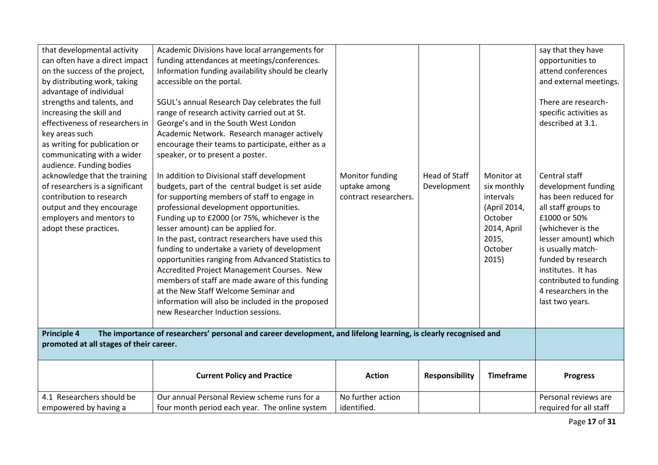| that developmental activity<br>can often have a direct impact<br>on the success of the project,<br>by distributing work, taking<br>advantage of individual<br>strengths and talents, and<br>increasing the skill and<br>effectiveness of researchers in<br>key areas such<br>as writing for publication or<br>communicating with a wider<br>audience. Funding bodies<br>acknowledge that the training<br>of researchers is a significant<br>contribution to research<br>output and they encourage<br>employers and mentors to<br>adopt these practices. | Academic Divisions have local arrangements for<br>funding attendances at meetings/conferences.<br>Information funding availability should be clearly<br>accessible on the portal.<br>SGUL's annual Research Day celebrates the full<br>range of research activity carried out at St.<br>George's and in the South West London<br>Academic Network. Research manager actively<br>encourage their teams to participate, either as a<br>speaker, or to present a poster.<br>In addition to Divisional staff development<br>budgets, part of the central budget is set aside<br>for supporting members of staff to engage in<br>professional development opportunities.<br>Funding up to £2000 (or 75%, whichever is the<br>lesser amount) can be applied for.<br>In the past, contract researchers have used this<br>funding to undertake a variety of development<br>opportunities ranging from Advanced Statistics to<br>Accredited Project Management Courses. New<br>members of staff are made aware of this funding<br>at the New Staff Welcome Seminar and<br>information will also be included in the proposed<br>new Researcher Induction sessions. | Monitor funding<br>uptake among<br>contract researchers. | Head of Staff<br>Development | Monitor at<br>six monthly<br>intervals<br>(April 2014,<br>October<br>2014, April<br>2015,<br>October<br>2015) | say that they have<br>opportunities to<br>attend conferences<br>and external meetings.<br>There are research-<br>specific activities as<br>described at 3.1.<br>Central staff<br>development funding<br>has been reduced for<br>all staff groups to<br>£1000 or 50%<br>(whichever is the<br>lesser amount) which<br>is usually match-<br>funded by research<br>institutes. It has<br>contributed to funding<br>4 researchers in the<br>last two years. |
|---------------------------------------------------------------------------------------------------------------------------------------------------------------------------------------------------------------------------------------------------------------------------------------------------------------------------------------------------------------------------------------------------------------------------------------------------------------------------------------------------------------------------------------------------------|----------------------------------------------------------------------------------------------------------------------------------------------------------------------------------------------------------------------------------------------------------------------------------------------------------------------------------------------------------------------------------------------------------------------------------------------------------------------------------------------------------------------------------------------------------------------------------------------------------------------------------------------------------------------------------------------------------------------------------------------------------------------------------------------------------------------------------------------------------------------------------------------------------------------------------------------------------------------------------------------------------------------------------------------------------------------------------------------------------------------------------------------------------|----------------------------------------------------------|------------------------------|---------------------------------------------------------------------------------------------------------------|--------------------------------------------------------------------------------------------------------------------------------------------------------------------------------------------------------------------------------------------------------------------------------------------------------------------------------------------------------------------------------------------------------------------------------------------------------|
| <b>Principle 4</b><br>The importance of researchers' personal and career development, and lifelong learning, is clearly recognised and<br>promoted at all stages of their career.                                                                                                                                                                                                                                                                                                                                                                       |                                                                                                                                                                                                                                                                                                                                                                                                                                                                                                                                                                                                                                                                                                                                                                                                                                                                                                                                                                                                                                                                                                                                                          |                                                          |                              |                                                                                                               |                                                                                                                                                                                                                                                                                                                                                                                                                                                        |
|                                                                                                                                                                                                                                                                                                                                                                                                                                                                                                                                                         | <b>Current Policy and Practice</b>                                                                                                                                                                                                                                                                                                                                                                                                                                                                                                                                                                                                                                                                                                                                                                                                                                                                                                                                                                                                                                                                                                                       | <b>Action</b>                                            | <b>Responsibility</b>        | <b>Timeframe</b>                                                                                              | <b>Progress</b>                                                                                                                                                                                                                                                                                                                                                                                                                                        |
| 4.1 Researchers should be<br>empowered by having a                                                                                                                                                                                                                                                                                                                                                                                                                                                                                                      | Our annual Personal Review scheme runs for a<br>four month period each year. The online system                                                                                                                                                                                                                                                                                                                                                                                                                                                                                                                                                                                                                                                                                                                                                                                                                                                                                                                                                                                                                                                           | No further action<br>identified.                         |                              |                                                                                                               | Personal reviews are<br>required for all staff                                                                                                                                                                                                                                                                                                                                                                                                         |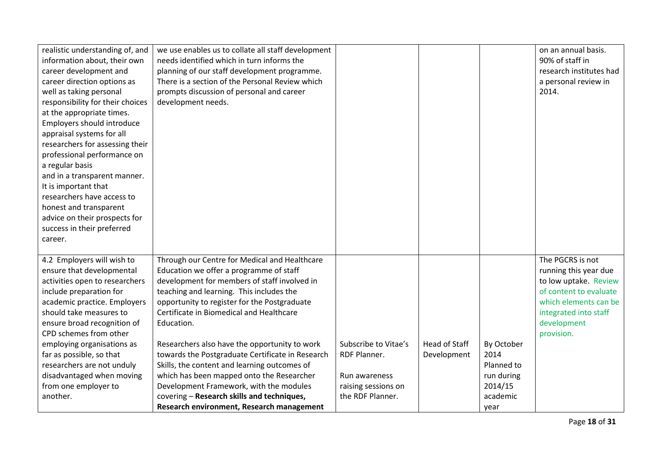| realistic understanding of, and  | we use enables us to collate all staff development |                      |               |            | on an annual basis.     |
|----------------------------------|----------------------------------------------------|----------------------|---------------|------------|-------------------------|
| information about, their own     | needs identified which in turn informs the         |                      |               |            | 90% of staff in         |
| career development and           | planning of our staff development programme.       |                      |               |            | research institutes had |
| career direction options as      | There is a section of the Personal Review which    |                      |               |            | a personal review in    |
| well as taking personal          | prompts discussion of personal and career          |                      |               |            | 2014.                   |
| responsibility for their choices | development needs.                                 |                      |               |            |                         |
| at the appropriate times.        |                                                    |                      |               |            |                         |
| Employers should introduce       |                                                    |                      |               |            |                         |
| appraisal systems for all        |                                                    |                      |               |            |                         |
| researchers for assessing their  |                                                    |                      |               |            |                         |
| professional performance on      |                                                    |                      |               |            |                         |
| a regular basis                  |                                                    |                      |               |            |                         |
| and in a transparent manner.     |                                                    |                      |               |            |                         |
| It is important that             |                                                    |                      |               |            |                         |
| researchers have access to       |                                                    |                      |               |            |                         |
| honest and transparent           |                                                    |                      |               |            |                         |
| advice on their prospects for    |                                                    |                      |               |            |                         |
| success in their preferred       |                                                    |                      |               |            |                         |
| career.                          |                                                    |                      |               |            |                         |
|                                  |                                                    |                      |               |            |                         |
| 4.2 Employers will wish to       | Through our Centre for Medical and Healthcare      |                      |               |            | The PGCRS is not        |
| ensure that developmental        | Education we offer a programme of staff            |                      |               |            | running this year due   |
| activities open to researchers   | development for members of staff involved in       |                      |               |            | to low uptake. Review   |
| include preparation for          | teaching and learning. This includes the           |                      |               |            | of content to evaluate  |
| academic practice. Employers     | opportunity to register for the Postgraduate       |                      |               |            | which elements can be   |
| should take measures to          | Certificate in Biomedical and Healthcare           |                      |               |            | integrated into staff   |
| ensure broad recognition of      | Education.                                         |                      |               |            | development             |
| CPD schemes from other           |                                                    |                      |               |            | provision.              |
| employing organisations as       | Researchers also have the opportunity to work      | Subscribe to Vitae's | Head of Staff | By October |                         |
| far as possible, so that         | towards the Postgraduate Certificate in Research   | RDF Planner.         | Development   | 2014       |                         |
| researchers are not unduly       | Skills, the content and learning outcomes of       |                      |               | Planned to |                         |
| disadvantaged when moving        | which has been mapped onto the Researcher          | Run awareness        |               | run during |                         |
| from one employer to             | Development Framework, with the modules            | raising sessions on  |               | 2014/15    |                         |
| another.                         | covering - Research skills and techniques,         | the RDF Planner.     |               | academic   |                         |
|                                  | Research environment, Research management          |                      |               | year       |                         |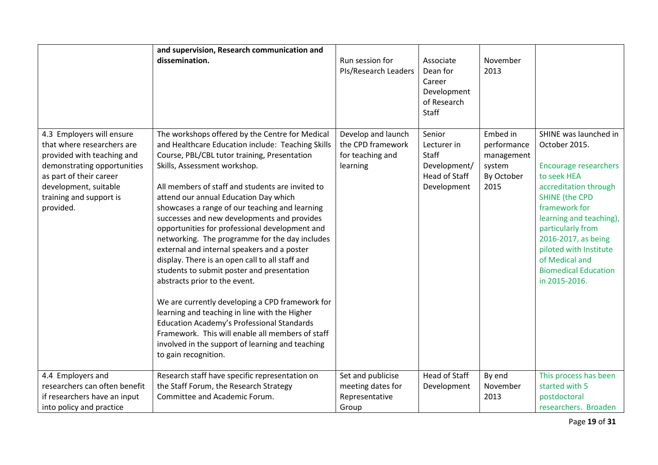|                                                                                                                                                                                                                  | and supervision, Research communication and                                                                                                                                                                                                                                                                                                                                                                                                                                                                                                                                                                                                                                                                                                                                                                                                                                                                                                                      |                                                                         |                                                                                |                                                                       |                                                                                                                                                                                                                                                                                                                             |
|------------------------------------------------------------------------------------------------------------------------------------------------------------------------------------------------------------------|------------------------------------------------------------------------------------------------------------------------------------------------------------------------------------------------------------------------------------------------------------------------------------------------------------------------------------------------------------------------------------------------------------------------------------------------------------------------------------------------------------------------------------------------------------------------------------------------------------------------------------------------------------------------------------------------------------------------------------------------------------------------------------------------------------------------------------------------------------------------------------------------------------------------------------------------------------------|-------------------------------------------------------------------------|--------------------------------------------------------------------------------|-----------------------------------------------------------------------|-----------------------------------------------------------------------------------------------------------------------------------------------------------------------------------------------------------------------------------------------------------------------------------------------------------------------------|
|                                                                                                                                                                                                                  | dissemination.                                                                                                                                                                                                                                                                                                                                                                                                                                                                                                                                                                                                                                                                                                                                                                                                                                                                                                                                                   | Run session for<br>PIs/Research Leaders                                 | Associate<br>Dean for<br>Career<br>Development<br>of Research<br>Staff         | November<br>2013                                                      |                                                                                                                                                                                                                                                                                                                             |
| 4.3 Employers will ensure<br>that where researchers are<br>provided with teaching and<br>demonstrating opportunities<br>as part of their career<br>development, suitable<br>training and support is<br>provided. | The workshops offered by the Centre for Medical<br>and Healthcare Education include: Teaching Skills<br>Course, PBL/CBL tutor training, Presentation<br>Skills, Assessment workshop.<br>All members of staff and students are invited to<br>attend our annual Education Day which<br>showcases a range of our teaching and learning<br>successes and new developments and provides<br>opportunities for professional development and<br>networking. The programme for the day includes<br>external and internal speakers and a poster<br>display. There is an open call to all staff and<br>students to submit poster and presentation<br>abstracts prior to the event.<br>We are currently developing a CPD framework for<br>learning and teaching in line with the Higher<br><b>Education Academy's Professional Standards</b><br>Framework. This will enable all members of staff<br>involved in the support of learning and teaching<br>to gain recognition. | Develop and launch<br>the CPD framework<br>for teaching and<br>learning | Senior<br>Lecturer in<br>Staff<br>Development/<br>Head of Staff<br>Development | Embed in<br>performance<br>management<br>system<br>By October<br>2015 | SHINE was launched in<br>October 2015.<br><b>Encourage researchers</b><br>to seek HEA<br>accreditation through<br><b>SHINE (the CPD</b><br>framework for<br>learning and teaching),<br>particularly from<br>2016-2017, as being<br>piloted with Institute<br>of Medical and<br><b>Biomedical Education</b><br>in 2015-2016. |
| 4.4 Employers and<br>researchers can often benefit<br>if researchers have an input<br>into policy and practice                                                                                                   | Research staff have specific representation on<br>the Staff Forum, the Research Strategy<br>Committee and Academic Forum.                                                                                                                                                                                                                                                                                                                                                                                                                                                                                                                                                                                                                                                                                                                                                                                                                                        | Set and publicise<br>meeting dates for<br>Representative<br>Group       | <b>Head of Staff</b><br>Development                                            | By end<br>November<br>2013                                            | This process has been<br>started with 5<br>postdoctoral<br>researchers. Broaden                                                                                                                                                                                                                                             |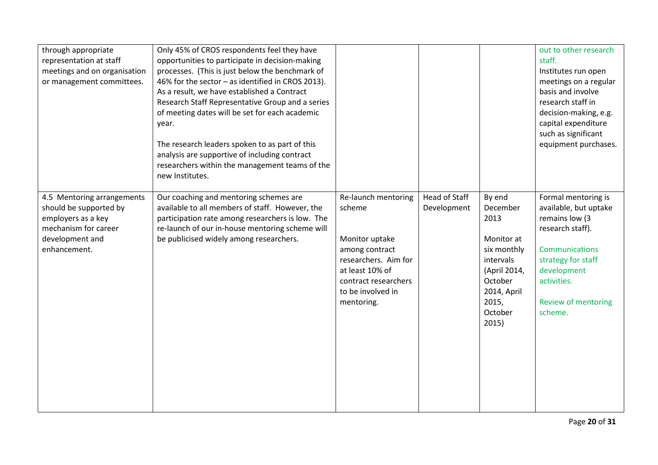| through appropriate<br>representation at staff<br>meetings and on organisation<br>or management committees.                           | Only 45% of CROS respondents feel they have<br>opportunities to participate in decision-making<br>processes. (This is just below the benchmark of<br>46% for the sector - as identified in CROS 2013).<br>As a result, we have established a Contract<br>Research Staff Representative Group and a series<br>of meeting dates will be set for each academic<br>year.<br>The research leaders spoken to as part of this<br>analysis are supportive of including contract<br>researchers within the management teams of the<br>new Institutes. |                                                                                                                                                                         |                              |                                                                                                                                             | out to other research<br>staff.<br>Institutes run open<br>meetings on a regular<br>basis and involve<br>research staff in<br>decision-making, e.g.<br>capital expenditure<br>such as significant<br>equipment purchases. |
|---------------------------------------------------------------------------------------------------------------------------------------|----------------------------------------------------------------------------------------------------------------------------------------------------------------------------------------------------------------------------------------------------------------------------------------------------------------------------------------------------------------------------------------------------------------------------------------------------------------------------------------------------------------------------------------------|-------------------------------------------------------------------------------------------------------------------------------------------------------------------------|------------------------------|---------------------------------------------------------------------------------------------------------------------------------------------|--------------------------------------------------------------------------------------------------------------------------------------------------------------------------------------------------------------------------|
| 4.5 Mentoring arrangements<br>should be supported by<br>employers as a key<br>mechanism for career<br>development and<br>enhancement. | Our coaching and mentoring schemes are<br>available to all members of staff. However, the<br>participation rate among researchers is low. The<br>re-launch of our in-house mentoring scheme will<br>be publicised widely among researchers.                                                                                                                                                                                                                                                                                                  | Re-launch mentoring<br>scheme<br>Monitor uptake<br>among contract<br>researchers. Aim for<br>at least 10% of<br>contract researchers<br>to be involved in<br>mentoring. | Head of Staff<br>Development | By end<br>December<br>2013<br>Monitor at<br>six monthly<br>intervals<br>(April 2014,<br>October<br>2014, April<br>2015,<br>October<br>2015) | Formal mentoring is<br>available, but uptake<br>remains low (3<br>research staff).<br><b>Communications</b><br>strategy for staff<br>development<br>activities.<br><b>Review of mentoring</b><br>scheme.                 |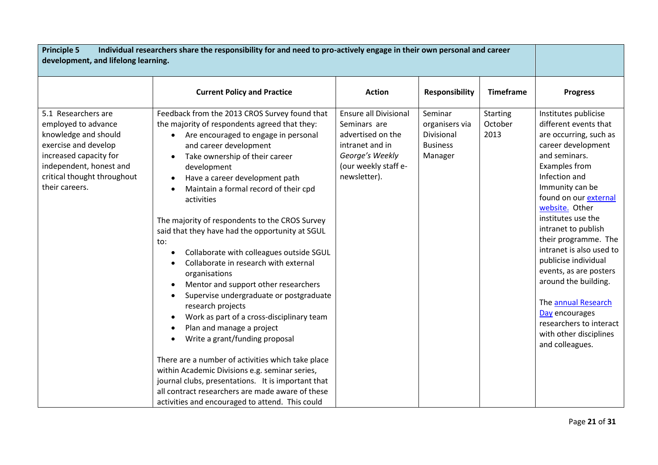| <b>Principle 5</b><br>Individual researchers share the responsibility for and need to pro-actively engage in their own personal and career<br>development, and lifelong learning.                |                                                                                                                                                                                                                                                                                                                                                                                                                                                                                                                                                                                                                                                                                                                                                                                                                                                                                                                                                                                                                                                                          |                                                                                                                                                 |                                                                       |                                    |                                                                                                                                                                                                                                                                                                                                                                                                                                                                                                                   |
|--------------------------------------------------------------------------------------------------------------------------------------------------------------------------------------------------|--------------------------------------------------------------------------------------------------------------------------------------------------------------------------------------------------------------------------------------------------------------------------------------------------------------------------------------------------------------------------------------------------------------------------------------------------------------------------------------------------------------------------------------------------------------------------------------------------------------------------------------------------------------------------------------------------------------------------------------------------------------------------------------------------------------------------------------------------------------------------------------------------------------------------------------------------------------------------------------------------------------------------------------------------------------------------|-------------------------------------------------------------------------------------------------------------------------------------------------|-----------------------------------------------------------------------|------------------------------------|-------------------------------------------------------------------------------------------------------------------------------------------------------------------------------------------------------------------------------------------------------------------------------------------------------------------------------------------------------------------------------------------------------------------------------------------------------------------------------------------------------------------|
|                                                                                                                                                                                                  | <b>Current Policy and Practice</b>                                                                                                                                                                                                                                                                                                                                                                                                                                                                                                                                                                                                                                                                                                                                                                                                                                                                                                                                                                                                                                       | <b>Action</b>                                                                                                                                   | <b>Responsibility</b>                                                 | <b>Timeframe</b>                   | <b>Progress</b>                                                                                                                                                                                                                                                                                                                                                                                                                                                                                                   |
| 5.1 Researchers are<br>employed to advance<br>knowledge and should<br>exercise and develop<br>increased capacity for<br>independent, honest and<br>critical thought throughout<br>their careers. | Feedback from the 2013 CROS Survey found that<br>the majority of respondents agreed that they:<br>Are encouraged to engage in personal<br>$\bullet$<br>and career development<br>Take ownership of their career<br>development<br>Have a career development path<br>Maintain a formal record of their cpd<br>$\bullet$<br>activities<br>The majority of respondents to the CROS Survey<br>said that they have had the opportunity at SGUL<br>to:<br>Collaborate with colleagues outside SGUL<br>$\bullet$<br>Collaborate in research with external<br>organisations<br>Mentor and support other researchers<br>Supervise undergraduate or postgraduate<br>$\bullet$<br>research projects<br>Work as part of a cross-disciplinary team<br>Plan and manage a project<br>Write a grant/funding proposal<br>There are a number of activities which take place<br>within Academic Divisions e.g. seminar series,<br>journal clubs, presentations. It is important that<br>all contract researchers are made aware of these<br>activities and encouraged to attend. This could | <b>Ensure all Divisional</b><br>Seminars are<br>advertised on the<br>intranet and in<br>George's Weekly<br>(our weekly staff e-<br>newsletter). | Seminar<br>organisers via<br>Divisional<br><b>Business</b><br>Manager | <b>Starting</b><br>October<br>2013 | Institutes publicise<br>different events that<br>are occurring, such as<br>career development<br>and seminars.<br><b>Examples from</b><br>Infection and<br>Immunity can be<br>found on our external<br>website. Other<br>institutes use the<br>intranet to publish<br>their programme. The<br>intranet is also used to<br>publicise individual<br>events, as are posters<br>around the building.<br>The annual Research<br>Day encourages<br>researchers to interact<br>with other disciplines<br>and colleagues. |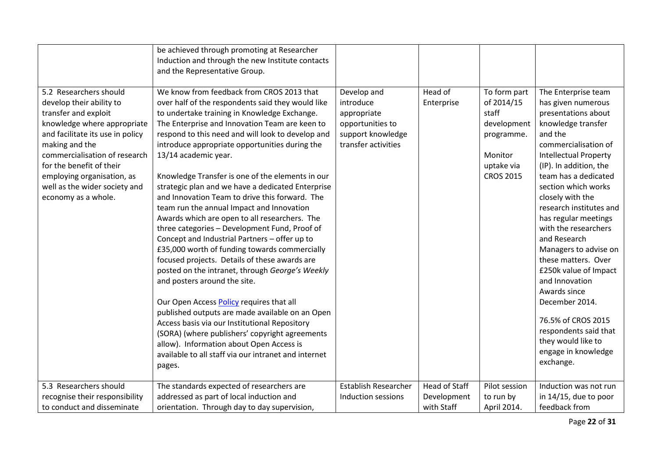|                                                                                                                                                                                                                                                                                                                    | be achieved through promoting at Researcher<br>Induction and through the new Institute contacts<br>and the Representative Group.                                                                                                                                                                                                                                                                                                                                                                                                                                                                                                                                                                                                                                                                                                                                                                                                                                                                                                                                                                                                                                                                |                                                                                                         |                                                   |                                                                                                               |                                                                                                                                                                                                                                                                                                                                                                                                                                                                                                                                                                                         |
|--------------------------------------------------------------------------------------------------------------------------------------------------------------------------------------------------------------------------------------------------------------------------------------------------------------------|-------------------------------------------------------------------------------------------------------------------------------------------------------------------------------------------------------------------------------------------------------------------------------------------------------------------------------------------------------------------------------------------------------------------------------------------------------------------------------------------------------------------------------------------------------------------------------------------------------------------------------------------------------------------------------------------------------------------------------------------------------------------------------------------------------------------------------------------------------------------------------------------------------------------------------------------------------------------------------------------------------------------------------------------------------------------------------------------------------------------------------------------------------------------------------------------------|---------------------------------------------------------------------------------------------------------|---------------------------------------------------|---------------------------------------------------------------------------------------------------------------|-----------------------------------------------------------------------------------------------------------------------------------------------------------------------------------------------------------------------------------------------------------------------------------------------------------------------------------------------------------------------------------------------------------------------------------------------------------------------------------------------------------------------------------------------------------------------------------------|
| 5.2 Researchers should<br>develop their ability to<br>transfer and exploit<br>knowledge where appropriate<br>and facilitate its use in policy<br>making and the<br>commercialisation of research<br>for the benefit of their<br>employing organisation, as<br>well as the wider society and<br>economy as a whole. | We know from feedback from CROS 2013 that<br>over half of the respondents said they would like<br>to undertake training in Knowledge Exchange.<br>The Enterprise and Innovation Team are keen to<br>respond to this need and will look to develop and<br>introduce appropriate opportunities during the<br>13/14 academic year.<br>Knowledge Transfer is one of the elements in our<br>strategic plan and we have a dedicated Enterprise<br>and Innovation Team to drive this forward. The<br>team run the annual Impact and Innovation<br>Awards which are open to all researchers. The<br>three categories - Development Fund, Proof of<br>Concept and Industrial Partners - offer up to<br>£35,000 worth of funding towards commercially<br>focused projects. Details of these awards are<br>posted on the intranet, through George's Weekly<br>and posters around the site.<br>Our Open Access Policy requires that all<br>published outputs are made available on an Open<br>Access basis via our Institutional Repository<br>(SORA) (where publishers' copyright agreements<br>allow). Information about Open Access is<br>available to all staff via our intranet and internet<br>pages. | Develop and<br>introduce<br>appropriate<br>opportunities to<br>support knowledge<br>transfer activities | Head of<br>Enterprise                             | To form part<br>of 2014/15<br>staff<br>development<br>programme.<br>Monitor<br>uptake via<br><b>CROS 2015</b> | The Enterprise team<br>has given numerous<br>presentations about<br>knowledge transfer<br>and the<br>commercialisation of<br><b>Intellectual Property</b><br>(IP). In addition, the<br>team has a dedicated<br>section which works<br>closely with the<br>research institutes and<br>has regular meetings<br>with the researchers<br>and Research<br>Managers to advise on<br>these matters. Over<br>£250k value of Impact<br>and Innovation<br>Awards since<br>December 2014.<br>76.5% of CROS 2015<br>respondents said that<br>they would like to<br>engage in knowledge<br>exchange. |
| 5.3 Researchers should<br>recognise their responsibility<br>to conduct and disseminate                                                                                                                                                                                                                             | The standards expected of researchers are<br>addressed as part of local induction and<br>orientation. Through day to day supervision,                                                                                                                                                                                                                                                                                                                                                                                                                                                                                                                                                                                                                                                                                                                                                                                                                                                                                                                                                                                                                                                           | <b>Establish Researcher</b><br>Induction sessions                                                       | <b>Head of Staff</b><br>Development<br>with Staff | Pilot session<br>to run by<br>April 2014.                                                                     | Induction was not run<br>in 14/15, due to poor<br>feedback from                                                                                                                                                                                                                                                                                                                                                                                                                                                                                                                         |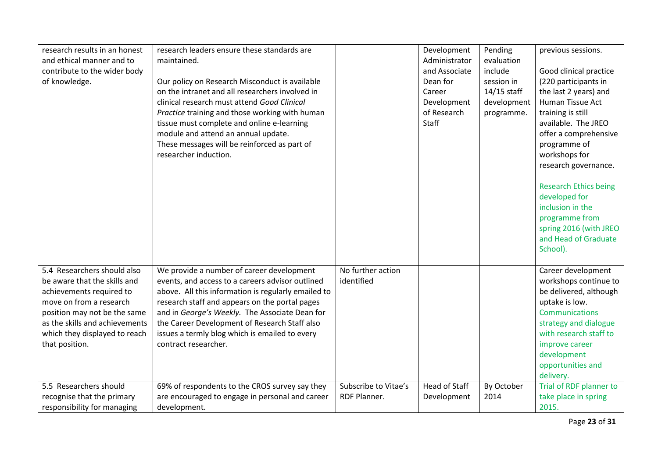| research results in an honest<br>and ethical manner and to<br>contribute to the wider body<br>of knowledge.                                                                                                                             | research leaders ensure these standards are<br>maintained.<br>Our policy on Research Misconduct is available<br>on the intranet and all researchers involved in<br>clinical research must attend Good Clinical<br>Practice training and those working with human<br>tissue must complete and online e-learning<br>module and attend an annual update.<br>These messages will be reinforced as part of<br>researcher induction. |                                             | Development<br>Administrator<br>and Associate<br>Dean for<br>Career<br>Development<br>of Research<br>Staff | Pending<br>evaluation<br>include<br>session in<br>14/15 staff<br>development<br>programme. | previous sessions.<br>Good clinical practice<br>(220 participants in<br>the last 2 years) and<br>Human Tissue Act<br>training is still<br>available. The JREO<br>offer a comprehensive<br>programme of<br>workshops for<br>research governance.<br><b>Research Ethics being</b><br>developed for<br>inclusion in the<br>programme from<br>spring 2016 (with JREO<br>and Head of Graduate<br>School). |
|-----------------------------------------------------------------------------------------------------------------------------------------------------------------------------------------------------------------------------------------|--------------------------------------------------------------------------------------------------------------------------------------------------------------------------------------------------------------------------------------------------------------------------------------------------------------------------------------------------------------------------------------------------------------------------------|---------------------------------------------|------------------------------------------------------------------------------------------------------------|--------------------------------------------------------------------------------------------|------------------------------------------------------------------------------------------------------------------------------------------------------------------------------------------------------------------------------------------------------------------------------------------------------------------------------------------------------------------------------------------------------|
| 5.4 Researchers should also<br>be aware that the skills and<br>achievements required to<br>move on from a research<br>position may not be the same<br>as the skills and achievements<br>which they displayed to reach<br>that position. | We provide a number of career development<br>events, and access to a careers advisor outlined<br>above. All this information is regularly emailed to<br>research staff and appears on the portal pages<br>and in George's Weekly. The Associate Dean for<br>the Career Development of Research Staff also<br>issues a termly blog which is emailed to every<br>contract researcher.                                            | No further action<br>identified             |                                                                                                            |                                                                                            | Career development<br>workshops continue to<br>be delivered, although<br>uptake is low.<br><b>Communications</b><br>strategy and dialogue<br>with research staff to<br>improve career<br>development<br>opportunities and<br>delivery.                                                                                                                                                               |
| 5.5 Researchers should<br>recognise that the primary<br>responsibility for managing                                                                                                                                                     | 69% of respondents to the CROS survey say they<br>are encouraged to engage in personal and career<br>development.                                                                                                                                                                                                                                                                                                              | Subscribe to Vitae's<br><b>RDF Planner.</b> | <b>Head of Staff</b><br>Development                                                                        | By October<br>2014                                                                         | Trial of RDF planner to<br>take place in spring<br>2015.                                                                                                                                                                                                                                                                                                                                             |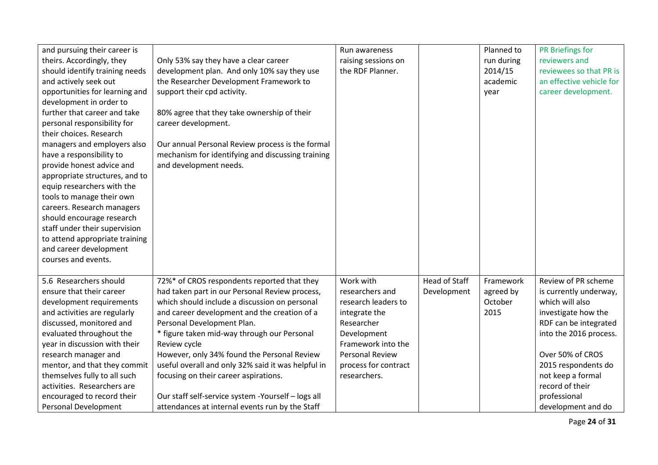| and pursuing their career is   |                                                    | Run awareness        |                      | Planned to | PR Briefings for         |
|--------------------------------|----------------------------------------------------|----------------------|----------------------|------------|--------------------------|
| theirs. Accordingly, they      | Only 53% say they have a clear career              | raising sessions on  |                      | run during | reviewers and            |
| should identify training needs | development plan. And only 10% say they use        | the RDF Planner.     |                      | 2014/15    | reviewees so that PR is  |
| and actively seek out          | the Researcher Development Framework to            |                      |                      | academic   | an effective vehicle for |
| opportunities for learning and | support their cpd activity.                        |                      |                      | year       | career development.      |
| development in order to        |                                                    |                      |                      |            |                          |
| further that career and take   | 80% agree that they take ownership of their        |                      |                      |            |                          |
| personal responsibility for    | career development.                                |                      |                      |            |                          |
| their choices. Research        |                                                    |                      |                      |            |                          |
| managers and employers also    | Our annual Personal Review process is the formal   |                      |                      |            |                          |
| have a responsibility to       | mechanism for identifying and discussing training  |                      |                      |            |                          |
| provide honest advice and      | and development needs.                             |                      |                      |            |                          |
| appropriate structures, and to |                                                    |                      |                      |            |                          |
| equip researchers with the     |                                                    |                      |                      |            |                          |
| tools to manage their own      |                                                    |                      |                      |            |                          |
| careers. Research managers     |                                                    |                      |                      |            |                          |
| should encourage research      |                                                    |                      |                      |            |                          |
| staff under their supervision  |                                                    |                      |                      |            |                          |
| to attend appropriate training |                                                    |                      |                      |            |                          |
| and career development         |                                                    |                      |                      |            |                          |
| courses and events.            |                                                    |                      |                      |            |                          |
|                                |                                                    |                      |                      |            |                          |
| 5.6 Researchers should         | 72%* of CROS respondents reported that they        | Work with            | <b>Head of Staff</b> | Framework  | Review of PR scheme      |
| ensure that their career       | had taken part in our Personal Review process,     | researchers and      | Development          | agreed by  | is currently underway,   |
| development requirements       | which should include a discussion on personal      | research leaders to  |                      | October    | which will also          |
| and activities are regularly   | and career development and the creation of a       | integrate the        |                      | 2015       | investigate how the      |
| discussed, monitored and       | Personal Development Plan.                         | Researcher           |                      |            | RDF can be integrated    |
| evaluated throughout the       | * figure taken mid-way through our Personal        | Development          |                      |            | into the 2016 process.   |
| year in discussion with their  | Review cycle                                       | Framework into the   |                      |            |                          |
| research manager and           | However, only 34% found the Personal Review        | Personal Review      |                      |            | Over 50% of CROS         |
| mentor, and that they commit   | useful overall and only 32% said it was helpful in | process for contract |                      |            | 2015 respondents do      |
| themselves fully to all such   | focusing on their career aspirations.              | researchers.         |                      |            | not keep a formal        |
| activities. Researchers are    |                                                    |                      |                      |            | record of their          |
| encouraged to record their     | Our staff self-service system -Yourself - logs all |                      |                      |            | professional             |
| <b>Personal Development</b>    | attendances at internal events run by the Staff    |                      |                      |            | development and do       |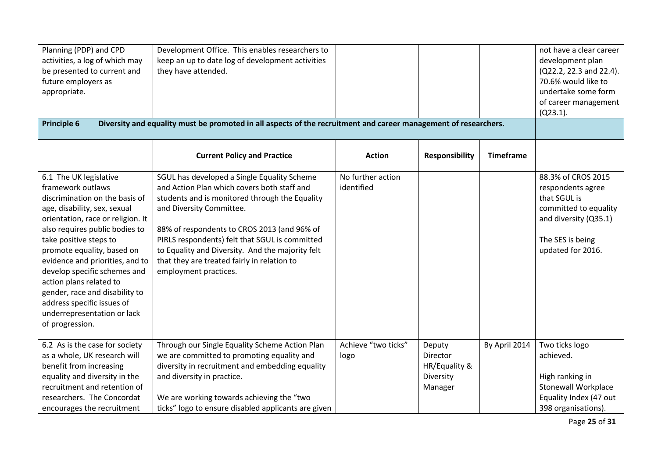| Planning (PDP) and CPD<br>activities, a log of which may<br>be presented to current and<br>future employers as<br>appropriate.<br><b>Principle 6</b>                                                                                                                                                                                                                                                                                                         | Development Office. This enables researchers to<br>keep an up to date log of development activities<br>they have attended.<br>Diversity and equality must be promoted in all aspects of the recruitment and career management of researchers.                                                                                                                                                         |                                 |                                                             |                  | not have a clear career<br>development plan<br>(Q22.2, 22.3 and 22.4).<br>70.6% would like to<br>undertake some form<br>of career management<br>$(Q23.1)$ . |
|--------------------------------------------------------------------------------------------------------------------------------------------------------------------------------------------------------------------------------------------------------------------------------------------------------------------------------------------------------------------------------------------------------------------------------------------------------------|-------------------------------------------------------------------------------------------------------------------------------------------------------------------------------------------------------------------------------------------------------------------------------------------------------------------------------------------------------------------------------------------------------|---------------------------------|-------------------------------------------------------------|------------------|-------------------------------------------------------------------------------------------------------------------------------------------------------------|
|                                                                                                                                                                                                                                                                                                                                                                                                                                                              |                                                                                                                                                                                                                                                                                                                                                                                                       |                                 |                                                             |                  |                                                                                                                                                             |
|                                                                                                                                                                                                                                                                                                                                                                                                                                                              | <b>Current Policy and Practice</b>                                                                                                                                                                                                                                                                                                                                                                    | <b>Action</b>                   | <b>Responsibility</b>                                       | <b>Timeframe</b> |                                                                                                                                                             |
| 6.1 The UK legislative<br>framework outlaws<br>discrimination on the basis of<br>age, disability, sex, sexual<br>orientation, race or religion. It<br>also requires public bodies to<br>take positive steps to<br>promote equality, based on<br>evidence and priorities, and to<br>develop specific schemes and<br>action plans related to<br>gender, race and disability to<br>address specific issues of<br>underrepresentation or lack<br>of progression. | SGUL has developed a Single Equality Scheme<br>and Action Plan which covers both staff and<br>students and is monitored through the Equality<br>and Diversity Committee.<br>88% of respondents to CROS 2013 (and 96% of<br>PIRLS respondents) felt that SGUL is committed<br>to Equality and Diversity. And the majority felt<br>that they are treated fairly in relation to<br>employment practices. | No further action<br>identified |                                                             |                  | 88.3% of CROS 2015<br>respondents agree<br>that SGUL is<br>committed to equality<br>and diversity (Q35.1)<br>The SES is being<br>updated for 2016.          |
| 6.2 As is the case for society<br>as a whole, UK research will<br>benefit from increasing<br>equality and diversity in the<br>recruitment and retention of<br>researchers. The Concordat<br>encourages the recruitment                                                                                                                                                                                                                                       | Through our Single Equality Scheme Action Plan<br>we are committed to promoting equality and<br>diversity in recruitment and embedding equality<br>and diversity in practice.<br>We are working towards achieving the "two<br>ticks" logo to ensure disabled applicants are given                                                                                                                     | Achieve "two ticks"<br>logo     | Deputy<br>Director<br>HR/Equality &<br>Diversity<br>Manager | By April 2014    | Two ticks logo<br>achieved.<br>High ranking in<br><b>Stonewall Workplace</b><br>Equality Index (47 out<br>398 organisations).                               |

Page **25** of **31**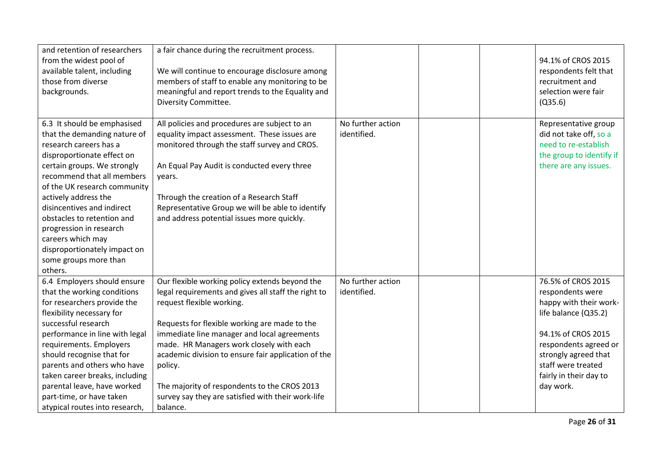| and retention of researchers<br>from the widest pool of<br>available talent, including<br>those from diverse<br>backgrounds.                                                                                                                                                                                                                                                                                             | a fair chance during the recruitment process.<br>We will continue to encourage disclosure among<br>members of staff to enable any monitoring to be<br>meaningful and report trends to the Equality and<br>Diversity Committee.                                                                                                                                                                                                                                     |                                  |  | 94.1% of CROS 2015<br>respondents felt that<br>recruitment and<br>selection were fair<br>(Q35.6)                                                                                                                             |
|--------------------------------------------------------------------------------------------------------------------------------------------------------------------------------------------------------------------------------------------------------------------------------------------------------------------------------------------------------------------------------------------------------------------------|--------------------------------------------------------------------------------------------------------------------------------------------------------------------------------------------------------------------------------------------------------------------------------------------------------------------------------------------------------------------------------------------------------------------------------------------------------------------|----------------------------------|--|------------------------------------------------------------------------------------------------------------------------------------------------------------------------------------------------------------------------------|
| 6.3 It should be emphasised<br>that the demanding nature of<br>research careers has a<br>disproportionate effect on<br>certain groups. We strongly<br>recommend that all members<br>of the UK research community<br>actively address the<br>disincentives and indirect<br>obstacles to retention and<br>progression in research<br>careers which may<br>disproportionately impact on<br>some groups more than<br>others. | All policies and procedures are subject to an<br>equality impact assessment. These issues are<br>monitored through the staff survey and CROS.<br>An Equal Pay Audit is conducted every three<br>years.<br>Through the creation of a Research Staff<br>Representative Group we will be able to identify<br>and address potential issues more quickly.                                                                                                               | No further action<br>identified. |  | Representative group<br>did not take off, so a<br>need to re-establish<br>the group to identify if<br>there are any issues.                                                                                                  |
| 6.4 Employers should ensure<br>that the working conditions<br>for researchers provide the<br>flexibility necessary for<br>successful research<br>performance in line with legal<br>requirements. Employers<br>should recognise that for<br>parents and others who have<br>taken career breaks, including<br>parental leave, have worked<br>part-time, or have taken<br>atypical routes into research,                    | Our flexible working policy extends beyond the<br>legal requirements and gives all staff the right to<br>request flexible working.<br>Requests for flexible working are made to the<br>immediate line manager and local agreements<br>made. HR Managers work closely with each<br>academic division to ensure fair application of the<br>policy.<br>The majority of respondents to the CROS 2013<br>survey say they are satisfied with their work-life<br>balance. | No further action<br>identified. |  | 76.5% of CROS 2015<br>respondents were<br>happy with their work-<br>life balance (Q35.2)<br>94.1% of CROS 2015<br>respondents agreed or<br>strongly agreed that<br>staff were treated<br>fairly in their day to<br>day work. |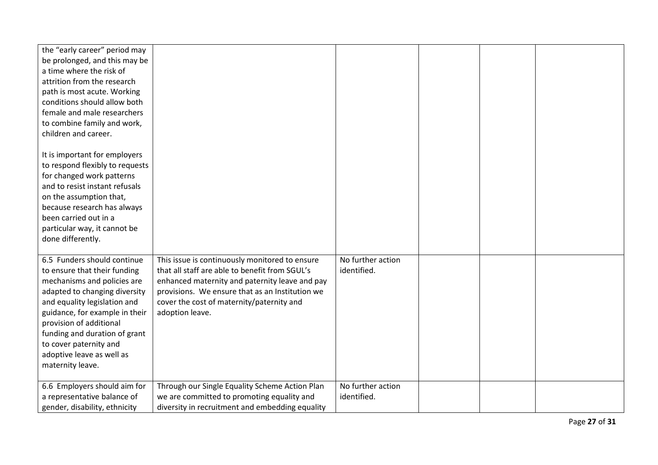| the "early career" period may<br>be prolonged, and this may be<br>a time where the risk of<br>attrition from the research<br>path is most acute. Working<br>conditions should allow both<br>female and male researchers<br>to combine family and work,<br>children and career.                                                       |                                                                                                                                                                                                                                                                       |                                  |  |  |
|--------------------------------------------------------------------------------------------------------------------------------------------------------------------------------------------------------------------------------------------------------------------------------------------------------------------------------------|-----------------------------------------------------------------------------------------------------------------------------------------------------------------------------------------------------------------------------------------------------------------------|----------------------------------|--|--|
| It is important for employers<br>to respond flexibly to requests<br>for changed work patterns<br>and to resist instant refusals<br>on the assumption that,<br>because research has always<br>been carried out in a<br>particular way, it cannot be<br>done differently.                                                              |                                                                                                                                                                                                                                                                       |                                  |  |  |
| 6.5 Funders should continue<br>to ensure that their funding<br>mechanisms and policies are<br>adapted to changing diversity<br>and equality legislation and<br>guidance, for example in their<br>provision of additional<br>funding and duration of grant<br>to cover paternity and<br>adoptive leave as well as<br>maternity leave. | This issue is continuously monitored to ensure<br>that all staff are able to benefit from SGUL's<br>enhanced maternity and paternity leave and pay<br>provisions. We ensure that as an Institution we<br>cover the cost of maternity/paternity and<br>adoption leave. | No further action<br>identified. |  |  |
| 6.6 Employers should aim for<br>a representative balance of<br>gender, disability, ethnicity                                                                                                                                                                                                                                         | Through our Single Equality Scheme Action Plan<br>we are committed to promoting equality and<br>diversity in recruitment and embedding equality                                                                                                                       | No further action<br>identified. |  |  |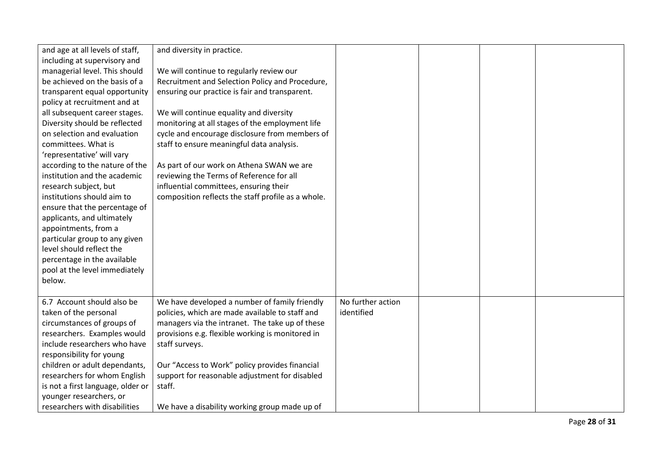| and age at all levels of staff,   | and diversity in practice.                         |                   |  |  |
|-----------------------------------|----------------------------------------------------|-------------------|--|--|
| including at supervisory and      |                                                    |                   |  |  |
| managerial level. This should     | We will continue to regularly review our           |                   |  |  |
| be achieved on the basis of a     |                                                    |                   |  |  |
|                                   | Recruitment and Selection Policy and Procedure,    |                   |  |  |
| transparent equal opportunity     | ensuring our practice is fair and transparent.     |                   |  |  |
| policy at recruitment and at      |                                                    |                   |  |  |
| all subsequent career stages.     | We will continue equality and diversity            |                   |  |  |
| Diversity should be reflected     | monitoring at all stages of the employment life    |                   |  |  |
| on selection and evaluation       | cycle and encourage disclosure from members of     |                   |  |  |
| committees. What is               | staff to ensure meaningful data analysis.          |                   |  |  |
| 'representative' will vary        |                                                    |                   |  |  |
| according to the nature of the    | As part of our work on Athena SWAN we are          |                   |  |  |
| institution and the academic      | reviewing the Terms of Reference for all           |                   |  |  |
| research subject, but             | influential committees, ensuring their             |                   |  |  |
| institutions should aim to        | composition reflects the staff profile as a whole. |                   |  |  |
| ensure that the percentage of     |                                                    |                   |  |  |
| applicants, and ultimately        |                                                    |                   |  |  |
| appointments, from a              |                                                    |                   |  |  |
| particular group to any given     |                                                    |                   |  |  |
| level should reflect the          |                                                    |                   |  |  |
| percentage in the available       |                                                    |                   |  |  |
| pool at the level immediately     |                                                    |                   |  |  |
| below.                            |                                                    |                   |  |  |
|                                   |                                                    |                   |  |  |
| 6.7 Account should also be        | We have developed a number of family friendly      | No further action |  |  |
| taken of the personal             | policies, which are made available to staff and    | identified        |  |  |
| circumstances of groups of        | managers via the intranet. The take up of these    |                   |  |  |
| researchers. Examples would       | provisions e.g. flexible working is monitored in   |                   |  |  |
| include researchers who have      | staff surveys.                                     |                   |  |  |
| responsibility for young          |                                                    |                   |  |  |
| children or adult dependants,     | Our "Access to Work" policy provides financial     |                   |  |  |
| researchers for whom English      | support for reasonable adjustment for disabled     |                   |  |  |
| is not a first language, older or | staff.                                             |                   |  |  |
| younger researchers, or           |                                                    |                   |  |  |
| researchers with disabilities     | We have a disability working group made up of      |                   |  |  |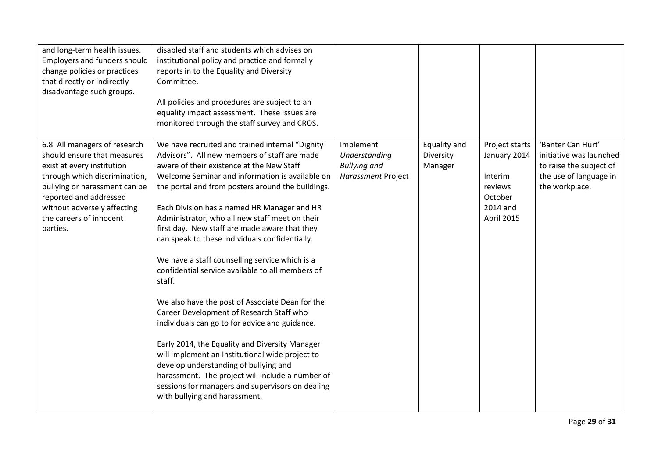| and long-term health issues.<br><b>Employers and funders should</b><br>change policies or practices<br>that directly or indirectly<br>disadvantage such groups.                                                                                             | disabled staff and students which advises on<br>institutional policy and practice and formally<br>reports in to the Equality and Diversity<br>Committee.<br>All policies and procedures are subject to an<br>equality impact assessment. These issues are<br>monitored through the staff survey and CROS.                                                                                                                                                                                                                                                                                                                                                                                                                                                                                                                                                                                                                                                                                                        |                                                                         |                                      |                                                                                           |                                                                                                                     |
|-------------------------------------------------------------------------------------------------------------------------------------------------------------------------------------------------------------------------------------------------------------|------------------------------------------------------------------------------------------------------------------------------------------------------------------------------------------------------------------------------------------------------------------------------------------------------------------------------------------------------------------------------------------------------------------------------------------------------------------------------------------------------------------------------------------------------------------------------------------------------------------------------------------------------------------------------------------------------------------------------------------------------------------------------------------------------------------------------------------------------------------------------------------------------------------------------------------------------------------------------------------------------------------|-------------------------------------------------------------------------|--------------------------------------|-------------------------------------------------------------------------------------------|---------------------------------------------------------------------------------------------------------------------|
| 6.8 All managers of research<br>should ensure that measures<br>exist at every institution<br>through which discrimination,<br>bullying or harassment can be<br>reported and addressed<br>without adversely affecting<br>the careers of innocent<br>parties. | We have recruited and trained internal "Dignity<br>Advisors". All new members of staff are made<br>aware of their existence at the New Staff<br>Welcome Seminar and information is available on<br>the portal and from posters around the buildings.<br>Each Division has a named HR Manager and HR<br>Administrator, who all new staff meet on their<br>first day. New staff are made aware that they<br>can speak to these individuals confidentially.<br>We have a staff counselling service which is a<br>confidential service available to all members of<br>staff.<br>We also have the post of Associate Dean for the<br>Career Development of Research Staff who<br>individuals can go to for advice and guidance.<br>Early 2014, the Equality and Diversity Manager<br>will implement an Institutional wide project to<br>develop understanding of bullying and<br>harassment. The project will include a number of<br>sessions for managers and supervisors on dealing<br>with bullying and harassment. | Implement<br>Understanding<br><b>Bullying and</b><br>Harassment Project | Equality and<br>Diversity<br>Manager | Project starts<br>January 2014<br>Interim<br>reviews<br>October<br>2014 and<br>April 2015 | 'Banter Can Hurt'<br>initiative was launched<br>to raise the subject of<br>the use of language in<br>the workplace. |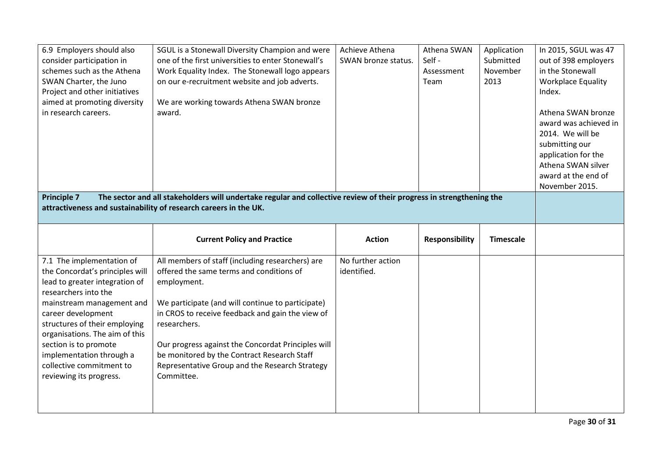| 6.9 Employers should also<br>consider participation in<br>schemes such as the Athena<br>SWAN Charter, the Juno<br>Project and other initiatives<br>aimed at promoting diversity<br>in research careers.<br><b>Principle 7</b>                                                                                                                            | SGUL is a Stonewall Diversity Champion and were<br>one of the first universities to enter Stonewall's<br>Work Equality Index. The Stonewall logo appears<br>on our e-recruitment website and job adverts.<br>We are working towards Athena SWAN bronze<br>award.<br>The sector and all stakeholders will undertake regular and collective review of their progress in strengthening the     | Achieve Athena<br>SWAN bronze status. | Athena SWAN<br>Self-<br>Assessment<br>Team | Application<br>Submitted<br>November<br>2013 | In 2015, SGUL was 47<br>out of 398 employers<br>in the Stonewall<br><b>Workplace Equality</b><br>Index.<br>Athena SWAN bronze<br>award was achieved in<br>2014. We will be<br>submitting our<br>application for the<br>Athena SWAN silver<br>award at the end of<br>November 2015. |
|----------------------------------------------------------------------------------------------------------------------------------------------------------------------------------------------------------------------------------------------------------------------------------------------------------------------------------------------------------|---------------------------------------------------------------------------------------------------------------------------------------------------------------------------------------------------------------------------------------------------------------------------------------------------------------------------------------------------------------------------------------------|---------------------------------------|--------------------------------------------|----------------------------------------------|------------------------------------------------------------------------------------------------------------------------------------------------------------------------------------------------------------------------------------------------------------------------------------|
| attractiveness and sustainability of research careers in the UK.                                                                                                                                                                                                                                                                                         |                                                                                                                                                                                                                                                                                                                                                                                             |                                       |                                            |                                              |                                                                                                                                                                                                                                                                                    |
|                                                                                                                                                                                                                                                                                                                                                          | <b>Current Policy and Practice</b>                                                                                                                                                                                                                                                                                                                                                          | <b>Action</b>                         | <b>Responsibility</b>                      | <b>Timescale</b>                             |                                                                                                                                                                                                                                                                                    |
| 7.1 The implementation of<br>the Concordat's principles will<br>lead to greater integration of<br>researchers into the<br>mainstream management and<br>career development<br>structures of their employing<br>organisations. The aim of this<br>section is to promote<br>implementation through a<br>collective commitment to<br>reviewing its progress. | All members of staff (including researchers) are<br>offered the same terms and conditions of<br>employment.<br>We participate (and will continue to participate)<br>in CROS to receive feedback and gain the view of<br>researchers.<br>Our progress against the Concordat Principles will<br>be monitored by the Contract Research Staff<br>Representative Group and the Research Strategy | No further action<br>identified.      |                                            |                                              |                                                                                                                                                                                                                                                                                    |